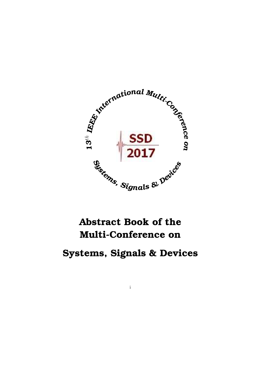

# Abstract Book of the Multi-Conference on

# Systems, Signals & Devices

i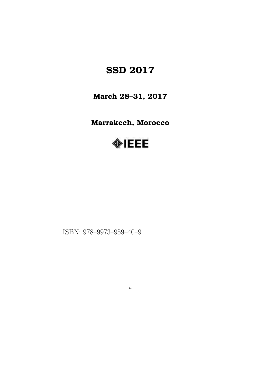# SSD 2017

March 28–31, 2017

Marrakech, Morocco



ISBN: 978–9973–959–40–9

ii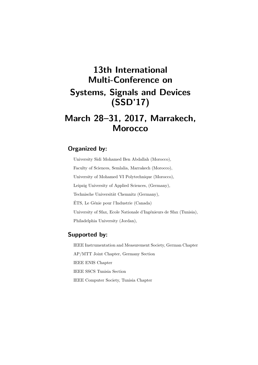# 13th International Multi-Conference on Systems, Signals and Devices (SSD'17)

# March 28–31, 2017, Marrakech, **Morocco**

### Organized by:

University Sidi Mohamed Ben Abdallah (Morocco), Faculty of Sciences, Semlalia, Marrakech (Morocco), University of Mohamed VI Polytechnique (Morocco), Leipzig University of Applied Sciences, (Germany), Technische Universität Chemnitz (Germany), ETS, Le G´enie pour l'Industrie (Canada) ´ University of Sfax, Ecole Nationale d'Ingénieurs de Sfax (Tunisia), Philadelphia University (Jordan),

## Supported by:

IEEE Instrumentation and Measurement Society, German Chapter AP/MTT Joint Chapter, Germany Section IEEE ENIS Chapter IEEE SSCS Tunisia Section IEEE Computer Society, Tunisia Chapter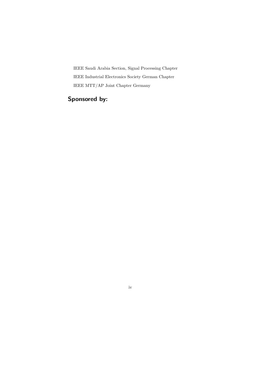IEEE Saudi Arabia Section, Signal Processing Chapter IEEE Industrial Electronics Society German Chapter IEEE MTT/AP Joint Chapter Germany

# Sponsored by:

iv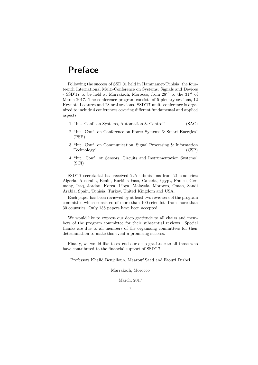# Preface

Following the success of SSD'01 held in Hammamet-Tunisia, the fourteenth International Multi-Conference on Systems, Signals and Devices - SSD'17 to be held at Marrakech, Morocco, from  $28^{th}$  to the  $31^{st}$  of March 2017. The conference program consists of 5 plenary sessions, 12 Keynote Lectures and 28 oral sessions. SSD'17 multi-conference is organized to include 4 conferences covering different fundamental and applied aspects:

- 1 "Int. Conf. on Systems, Automation & Control" (SAC)
- 2 "Int. Conf. on Conference on Power Systems & Smart Energies" (PSE)
- 3 "Int. Conf. on Communication, Signal Processing & Information Technology" (CSP)
- 4 "Int. Conf. on Sensors, Circuits and Instrumentation Systems" (SCI)

SSD'17 secretariat has received 225 submissions from 21 countries: Algeria, Australia, Benin, Burkina Faso, Canada, Egypt, France, Germany, Iraq, Jordan, Korea, Libya, Malaysia, Morocco, Oman, Saudi Arabia, Spain, Tunisia, Turkey, United Kingdom and USA.

Each paper has been reviewed by at least two reviewers of the program committee which consisted of more than 100 scientists from more than 30 countries. Only 158 papers have been accepted.

We would like to express our deep gratitude to all chairs and members of the program committee for their substantial reviews. Special thanks are due to all members of the organizing committees for their determination to make this event a promising success.

Finally, we would like to extend our deep gratitude to all those who have contributed to the financial support of SSD'17.

Professors Khalid Benjelloun, Maarouf Saad and Faouzi Derbel

Marrakech, Morocco

March, 2017

v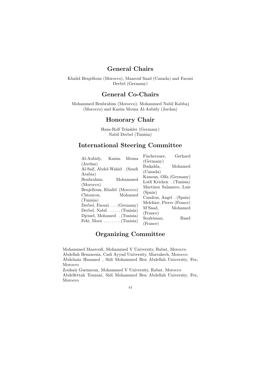### General Chairs

Khalid Benjelloun (Morocco), Maarouf Saad (Canada) and Faouzi Derbel (Germany)

## General Co-Chairs

Mohammed Benbrahim (Morocco), Mohammed Nabil Kabbaj (Morocco) and Kasim Mousa Al-Aubidy (Jordan)

## Honorary Chair

Hans-Rolf Tränkler (Germany) Nabil Derbel (Tunisia)

### International Steering Committee

| Kasim<br>Mousa<br>Al-Aubidy.                                                                                                                                                         | Gerhard<br>Fischerauer.                                                                                                                                                              |
|--------------------------------------------------------------------------------------------------------------------------------------------------------------------------------------|--------------------------------------------------------------------------------------------------------------------------------------------------------------------------------------|
| (Jordan)<br>Al-Saif, Abdel-Wahid . (Saudi                                                                                                                                            | (Germany)<br>Ibnkahla,<br>Mohamed<br>(Canada)                                                                                                                                        |
| Arabia)<br>Mohammed<br>Benbrahim,<br>(Morocco)<br>Benjelloun, Khalid (Morocco)<br>Mohamed<br>Chtourou,<br>(Tunisia)<br>Derbel, Faouzi  (Germany)<br>Derbel, Nabil $\ldots$ (Tunisia) | Kanoun, Olfa (Germany)<br>Lotfi Krichen . (Tunisia)<br>Martinez Salamero, Luis<br>(Spain)<br>Cuadras, Angel . (Spain)<br>Melchior, Pierre (France)<br>M'Saad,<br>Mohamed<br>(France) |
| Djemel, Mohamed . (Tunisia)<br>Feki, Moez $\dots\dots\dots(Tunisia)$                                                                                                                 | Souleiman,<br>Basel<br>(France)                                                                                                                                                      |

## Organizing Committee

Mohammed Maaroufi, Mohammed V University, Rabat, Morocco Abdellah Benzaouia, Cadi Ayyad University, Marrakech, Morocco Abdelaziz Hmamed , Sidi Mohammed Ben Abdellah University, Fez, Morocco

Zouhair Guennoun, Mohammed V University, Rabat, Morocco Abdelfettah Touzani, Sidi Mohammed Ben Abdellah University, Fez, Morocco

vi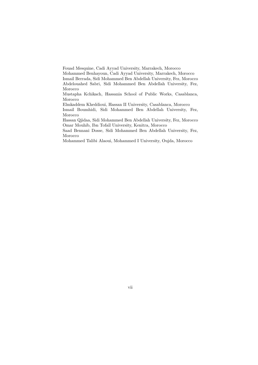Fouad Mesquine, Cadi Ayyad University, Marrakech, Morocco

Mohammed Benhayoun, Cadi Ayyad University, Marrakech, Morocco Ismail Berrada, Sidi Mohammed Ben Abdellah University, Fez, Morocco Abdelouahed Sabri, Sidi Mohammed Ben Abdellah University, Fez, Morocco

Mustapha Kchikach, Hassania School of Public Works, Casablanca, Morocco

Elmkaddem Kheddioui, Hassan II University, Casablanca, Morocco Ismail Boumhidi, Sidi Mohammed Ben Abdellah University, Fez, Morocco

Hassan Qjidaa, Sidi Mohammed Ben Abdellah University, Fez, Morocco Omar Mouhib, Ibn Tofail University, Kenitra, Morocco

Saad Bennani Dosse, Sidi Mohammed Ben Abdellah University, Fez, Morocco

Mohammed Talibi Alaoui, Mohammed I University, Oujda, Morocco

vii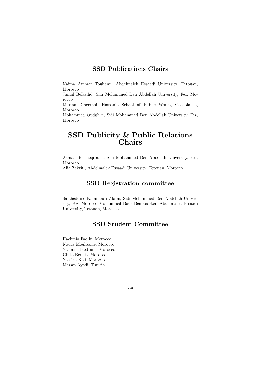### SSD Publications Chairs

Naima Ammar Touhami, Abdelmalek Essaadi University, Tetouan, Morocco

Jamal Belkadid, Sidi Mohammed Ben Abdellah University, Fez, Morocco Mariam Cherrabi, Hassania School of Public Works, Casablanca,

Morocco

Mohammed Oudghiri, Sidi Mohammed Ben Abdellah University, Fez, Morocco

# SSD Publicity & Public Relations Chairs

Asmae Bencheqroune, Sidi Mohammed Ben Abdellah University, Fez, Morocco

Alia Zakriti, Abdelmalek Essaadi University, Tetouan, Morocco

## SSD Registration committee

Salaheddine Kammouri Alami, Sidi Mohammed Ben Abdellah University, Fez, Morocco Mohammed Badr Benboubker, Abdelmalek Essaadi University, Tetouan, Morocco

## SSD Student Committee

Hachmia Faqihi, Morocco Noura Mouhssine, Morocco Yasmine Ihedrane, Morocco Ghita Bennis, Morocco Yassine Kali, Morocco Marwa Ayadi, Tunisia

viii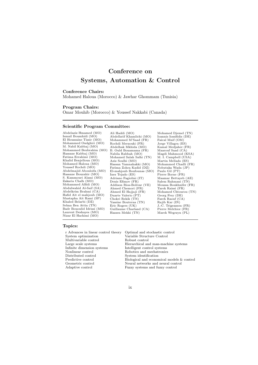# Conference on Systems, Automation & Control

#### Conference Chairs:

Mohamed Haloua (Morocco) & Jawhar Ghommam (Tunisia)

### Program Chairs:

Omar Mouhib (Morocco) & Youssef Nakkabi (Canada)

#### Scientific Program Committee:

Abdelaziz Hmamed (MO) Ismail Boumhidi (MO) El Houssaine Tissir (MO) Mohammed Oudghiri (MO) M. Nabil Kabbaj (MO) Mohammed Benbrahim (MO) Hassane Kabbaj (MO) Fatima Errahimi (MO) Khalid Benjelloun (MO) Mohamed Haloua (MO) Youssef Rochdi (MO) Abdelmajid Abouloifa (MO) Hassane Bouzahir (MO) S. Kammouri Alami (MO) Zakaria Chalh (MO) Mohammed Alfidi (MO) Abdulwahid Al-Saif (SA) Abdelkrim Brahmi (CA) Hafid Ait el mahjoub (MO) Mustapha Ait Rami (SP) Khaled Belarbi (DZ) Selma Ben Attia (TN) Badr Bououlid Idrissi (MO) Laurent Deshayes (MO) Nizar El Hachimi (MO)

Ali Haddi (MO) Abdellatif Khamlichi (MO) Mohammed M'Saad (FR) Rochdi Merzouki (FR) Abdelhak Mkhida (MO) B. Ould Bouamama (FR) Nabila Rabbah (MO) Mohamed Salah Salhi (TN) Aziz Soulhi (MO) Hassan Yamnahakki (MO) Fatima Zohra Kadid (DZ) El-mahjoub Boufounas (MO) Ines Tejado (ES) Adriano Fagiolini (IT) Denis Efimov (FR) Addison Rios-Bolivar (VE) Ahmed Chemori (FR) Ahmed El Hajjaji (FR) Duarte Valerio (PT) Chokri Rekik (TN) Yassine Bouteraa (TN) Eric Rogers (UK) Guillaume Charland (CA) Hassen Mekki (TN)

Mohamed Djemel (TN) Ioannis Iossifidis (DE) Faical Mnif (OM) Jorge Villagra (ES) Kamal Medjaher (FR) Maarouf Saad (CA) Magdi Mahmood (KSA) M. I. Campbell (USA) Martin Mellado (ES) Mohammed Chadli (FR) Nobutaka Wada (JP) Paulo Gil (PT) Pierre Borne (FR) Maamar Bettayeb (AE) Salem Rahmani (TN) Moussa Boukhnifer (FR) Tarek Raissi (FR) Mohamed Chtourou (TN) Georg Frey (DE) Fareh Raouf (CA) Rajib Kar (IN) J.-C. Trigeassou (FR) Pierre Melchior (FR) Marek Wegrzyn (PL)

#### Topics:

r Advances in linear control theory System optimization Multivariable control Large scale systems Infinite dimension systems Nonlinear control Distributed control Predictive control Geometric control Adaptive control

Optimal and stochastic control Variable Structure Control Robust control Hierarchical and man-machine systems Intelligent control systems Robotics and mechatronics System identification Biological and economical models & control Neural networks and neural control Fuzzy systems and fuzzy control

ix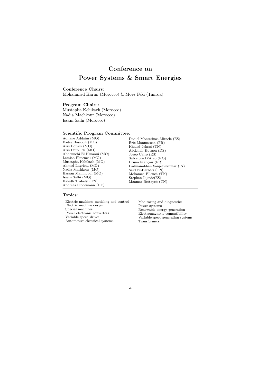# Conference on Power Systems & Smart Energies

#### Conference Chairs:

Mohammed Karim (Morocco) & Moez Feki (Tunisia)

### Program Chairs:

Mustapha Kchikach (Morocco) Nadia Machkour (Morocco) Issam Salhi (Morocco)

### Scientific Program Committee:

Adnane Addaim (MO) Badre Bossoufi (MO) Aziz Bouazi (MO) Aziz Derouich (MO) Abdennebi El Hsnaoui (MO) Lamiaa Elmenzhi (MO) Mustapha Kchikach (MO) Ahmed Lagrioui (MO) Nadia Machkour (MO) Hassan Mahmoudi (MO) Issam Salhi (MO) Hafedh Trabelsi (TN) Andreas Lindemann (DE)

Daniel Montesinos-Miracle (ES) Eric Monmasson (FR) Khaled Jelassi (TN) Abdellah Kouzou (DZ) Josep Cairo (ES) Salvatore D'Arco (NO) Bruno François (FR) Padmanabhan Sanjeevikumar (IN) Said El-Barbari (TN) Mohamed Elleuch (TN) Stephan Ilijevic(ES) Maamar Bettayeb (TN)

#### Topics:

Electric machines modeling and control Electric machine design Special machines Power electronic converters Variable speed drives Automotive electrical systems

Monitoring and diagnostics Power systems Renewable energy generation Electromagnetic compatibility Variable speed generating systems Transformers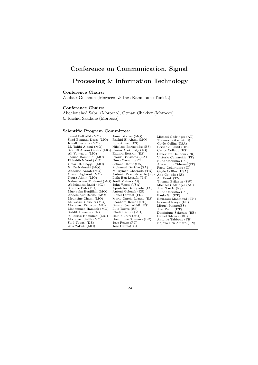# Conference on Communication, Signal

# Processing & Information Technology

### Conference Chairs:

Zouhair Guenoun (Morocco) & Ines Kammoun (Tunisia)

### Conference Chairs:

Abdelouahed Sabri (Morocco), Otman Chakkor (Morocco) & Rachid Saadane (Morocco)

### Scientific Program Committee:

| Jamal Belkadid (MO)                                                                                                                                                                                                                                                                                                   | Jamal Zbitou (MO)                                                                                                                                                                                                                                                                                        | Michael Gadringer (AT)   |
|-----------------------------------------------------------------------------------------------------------------------------------------------------------------------------------------------------------------------------------------------------------------------------------------------------------------------|----------------------------------------------------------------------------------------------------------------------------------------------------------------------------------------------------------------------------------------------------------------------------------------------------------|--------------------------|
| Saad Bennani Dosse (MO)                                                                                                                                                                                                                                                                                               | Rachid El Alami (MO)                                                                                                                                                                                                                                                                                     | Thomas Eriksson(SE)      |
| Ismail Berrada (MO)                                                                                                                                                                                                                                                                                                   | Luis Alonso (ES)                                                                                                                                                                                                                                                                                         | Gayle Collins (USA)      |
| M. Talibi Alaoui (MO)                                                                                                                                                                                                                                                                                                 | Nikolaos Bartzoudis (ES)                                                                                                                                                                                                                                                                                 | Berthold Lankl (DE)      |
| Saïd El Alaoui Ouatik (MO)                                                                                                                                                                                                                                                                                            | Kasim Al-Aubidy (JO)                                                                                                                                                                                                                                                                                     | Carlos Collado (ES)      |
| Ali Yahyaoui (MO)                                                                                                                                                                                                                                                                                                     | Eduard Bertran (ES)                                                                                                                                                                                                                                                                                      | Genevieve Baudoin (FR)   |
| Jaouad Boumhidi (MO)                                                                                                                                                                                                                                                                                                  | Faouzi Bouslama (CA)                                                                                                                                                                                                                                                                                     | Vittorio Camarchia (IT)  |
| El habib Nfaoui (MO)                                                                                                                                                                                                                                                                                                  | Nuno $Carvalho(PT)$                                                                                                                                                                                                                                                                                      | Nuno Carvalho (PT)       |
| Omar EL Beggali (MO)                                                                                                                                                                                                                                                                                                  | Sofiane Cherif (CA)                                                                                                                                                                                                                                                                                      | Alessandro Cidronali(IT) |
| N. En-Nahnahi (MO)                                                                                                                                                                                                                                                                                                    | Mohamed Deriche (SA)                                                                                                                                                                                                                                                                                     | Paolo Colantonio (IT)    |
| Abdellah Aarab (MO)                                                                                                                                                                                                                                                                                                   | M. Aymen Charrada (TN)                                                                                                                                                                                                                                                                                   | Gayle Collins (USA)      |
| Otman Aghzout (MO)                                                                                                                                                                                                                                                                                                    | Antonio Pascual-Iserte (ES)                                                                                                                                                                                                                                                                              | Ana Collado (ES)         |
| Noura Aknin (MO)                                                                                                                                                                                                                                                                                                      | Leila Ben Letaifa (TN)                                                                                                                                                                                                                                                                                   | Ali Douik (TN)           |
| Naima Amar Touhami (MO)                                                                                                                                                                                                                                                                                               | Jordi Mateu (ES)                                                                                                                                                                                                                                                                                         | Thomas Eriksson (SW)     |
| Abdelmajid Badri (MO)<br>Slimane Bah (MO)<br>Mustapha Benjillali (MO)<br>Abdelmajid Berdai (MO)<br>Mouhcine Chami (MO)<br>M. Yassin Chkouri (MO)<br>Mohamed Et-tolba (MO)<br>Mohammed Hamlich (MO)<br>Seddik Hassene (TN)<br>Y. Idrissi Khamlichi (MO)<br>Mohamed Sadik (MO)<br>Said Touati (DZ)<br>Alia Zakriti (MO) | John Wood (USA)<br>Apostolos Georgiadis (ES)<br>Antoni Gelonch (ES)<br>Lionel Prevost (FR)<br>Mario Garcia-Lozano (ES)<br>Leonhard Reindl (DE)<br>Besma Roui Abidi (US)<br>Luis Torres (ES)<br>Khalid Satori (MO)<br>Hamid Tairi (MO)<br>Dominique Schreurs (BE)<br>Jose Pedro (PT)<br>Jose $García(ES)$ |                          |

xi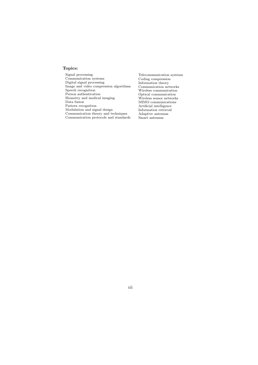### Topics:

Signal processing Communication systems Digital signal processing Image and video compression algorithms Speech recognition Person authentication Biometry and medical imaging Data fusion Pattern recognition Modulation and signal design Communication theory and techniques Communication protocols and standards

Telecommunication systems Coding compression Information theory Communication networks Wireless communication Optical communication Wireless sensor networks MIMO communications Artificial intelligence Information retrieval Adaptive antennas Smart antennas

xii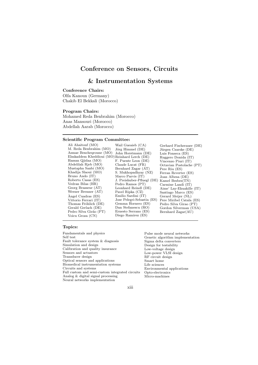## Conference on Sensors, Circuits

## & Instrumentation Systems

### Conference Chairs:

Olfa Kanoun (Germany) Chakib El Bekkali (Morocco)

### Program Chairs:

Mohamed Reda Benbrahim (Morocco) Anas Mansouri (Morocco) Abdellah Aarab (Morocco)

### Scientific Program Committee:

| Ali Ahaitouf (MO)<br>M. Reda Benbrahim (MO) | Wail Gueaieb (CA)<br>Jörg Himmel (DE)       | Gerhard Fischerauer (DE)<br>Jürgen Czarske (DE) |
|---------------------------------------------|---------------------------------------------|-------------------------------------------------|
| Asmae Benche qroune (MO)                    | John Horstmann (DE)                         | Luis Fonseca (ES)                               |
| Elmkaddem Kheddioui (MO)Reinhard Lerch (DE) |                                             | Ruggero Donida (IT)                             |
| Hassan Qiidaa (MO)                          | F. Puente Leon (DE)                         | Vincenzo Piuri (IT)                             |
| Abdelilah Rjeb (MO)                         | Claude Lucat (FR)                           | Octavian Postolache (PT)                        |
| Mustapha Sanbi (MO)                         | Bernhard Zagar (AT)                         | Pere Riu (ES)                                   |
| Khadija Slaoui (MO)                         | S. Mukhopadhyay (NZ)                        | Ferran Reverter (ES)                            |
| Bruno Ando (IT)                             | Marco Parvis (IT)                           | Joan Albesa (DE)                                |
| Roberto Casas (ES)                          | J. Preishuber-Pfluegl (DE) Kamel Besbes(TN) |                                                 |
| Vedran Bilas (HR)                           | Pedro Ramos (PT)                            | Carmine Landi $(IT)$                            |
| Georg Brasseur (AT)                         | Leonhard Reindl (DE)                        | Aime' Lay-Ekuakille (IT)                        |
| Werner Brenner (AT)                         | Pavel Ripka (CZ)                            | Santiago Marco (ES)                             |
| Angel Cuadras (ES)                          | Emilio Sardini (IT)                         | Gerard Meijer (NL)                              |
| Vittorio Ferrari (IT)                       | Jose Pelegri-Sebastia (ES)                  | Pere Miribel Catala (ES)                        |
| Thomas Fröhlich (DE)                        | Gemma Hornero (ES)                          | Pedro Silva Girao (PT)                          |
| Gerald Gerlach (DE)                         | Dan Stefanescu (RO)                         | Gordon Silverman (USA)                          |
| Pedro Silva Girão (PT)                      | Ernesto Serrano (ES)                        | Bernhard Zagar(AU)                              |
| Voicu Groza (CN)                            | Diego Ramirez (ES)                          |                                                 |
|                                             |                                             |                                                 |

### Topics:

Fundamentals and physics Self test Fault tolerance system & diagnosis Simulation and design Calibration and quality insurance Sensors and actuators Transducer design Optical sensors and applications Biomedical instrumentation systems Circuits and systems Full custom and semi-custom integrated circuits Analog & digital signal processing Neural networks implementation

Pulse mode neural networks Genetic algorithm implementation Sigma delta converters Design for testability Low-voltage design Low-power VLSI design RF circuit design Smart home Life sciences Environmental applications Opto-electronics Micro-machines

xiii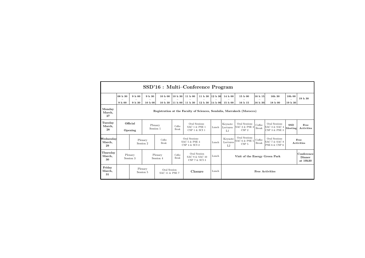| SSD'16 : Multi-Conference Program |                                                                        |                      |                      |                                           |                                                                           |                                                    |                   |                                |                                                    |                                                         |                                                    |                                                    |                                         |                    |
|-----------------------------------|------------------------------------------------------------------------|----------------------|----------------------|-------------------------------------------|---------------------------------------------------------------------------|----------------------------------------------------|-------------------|--------------------------------|----------------------------------------------------|---------------------------------------------------------|----------------------------------------------------|----------------------------------------------------|-----------------------------------------|--------------------|
|                                   | 08 h 30                                                                | 9 h 00               | 9 h 30               | 10h00                                     | 10h30                                                                     | 11 h 00                                            | 11h30             | 12h30                          | 14 h 00                                            | 15 h 00                                                 | 16 h 15                                            | 16h 30                                             | 18h 00                                  | 19h30              |
|                                   | 9h00                                                                   | 9 h 30               | 10h00                | 10 h 30   11 h 00                         |                                                                           | 11 h 30                                            | 12 h 30   14 h 00 |                                | 15h00                                              | 16 h 15                                                 | 16 h 30                                            | 18h00                                              | 19 h 30                                 |                    |
| Monday<br>March,<br>27            | Registration at the Faculty of Sciences, Semlalia, Marrakech (Morocco) |                      |                      |                                           |                                                                           |                                                    |                   |                                |                                                    |                                                         |                                                    |                                                    |                                         |                    |
| Tuesday<br>March,<br>28           |                                                                        | Official<br>Opening  |                      | Plenary<br>Session 1                      | Oral Sessions<br>Coffee<br>SAC 1 & PSE 1<br><b>Break</b><br>CSP 1 & SCI 1 |                                                    | Lunch             | Keynote<br>Lectures<br>$_{L1}$ | Oral Sessions<br>SAC 2 & PSE 2<br>CSP <sub>2</sub> | Coffee<br><b>Break</b>                                  | Oral Sessions<br>SAC 3 $\&$ SAC 4<br>CSP 3 & PSE 3 | <b>SSD</b><br>Meeting                              | Free<br>Activities                      |                    |
| Wednesdav<br>March,<br>29         |                                                                        |                      | Plenary<br>Session 2 | Coffee<br><b>Break</b>                    |                                                                           | Oral Sessions<br>SAC $5 \& PSE 4$<br>CSP 4 & SCI 2 |                   | Lunch                          | Keynote<br>Lectures<br>L <sub>2</sub>              | Oral Sessions<br>$ SAC 6 \& PSE 5 $<br>CSP <sub>5</sub> | Coffee<br>Break                                    | Oral Sessions<br>SAC 7 $\&$ SAC 8<br>PSE 6 & CSP 6 |                                         | Free<br>Activities |
| Thursday<br>March,<br>30          |                                                                        | Plenary<br>Session 3 |                      | Plenary<br>Session 4                      | Oral Session<br>Coffee<br>SAC 9 & SAC 10<br><b>Break</b><br>CSP 7 & SCI 3 |                                                    | Lunch             | Visit of the Energy Green Park |                                                    |                                                         |                                                    |                                                    | Conference<br><b>Dinner</b><br>at 19h30 |                    |
| Friday<br>March,<br>31            | Plenary<br>Session 5                                                   |                      |                      | Oral Session<br><b>SAC 11 &amp; PSE 7</b> | Closure                                                                   |                                                    | Lunch             | <b>Free Activities</b>         |                                                    |                                                         |                                                    |                                                    |                                         |                    |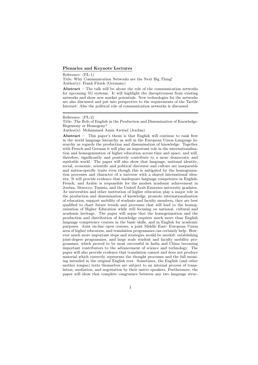#### Plenaries and Keynote Lectures

Reference: (PL-1)

Title: Why Communication Networks are the Next Big Thing! Author(s): Frank Fitzek (Germany)

Abstract – The talk will be about the role of the communication networks for upcoming 5G systems. It will highlight the disruptiveness from existing networks and show new market potentials. New technologies for the networks are also discussed and put into perspective to the requirements of the Tactile Internet. Also the political role of communication networks is discussed.

Reference: (PL-2)

Title: The Role of English in the Production and Dissemination of Knowledge: Hegemony or Homogeny?

Author(s): Mohammed Amin Awwad (Jordan)

Abstract – This paper's thesis is that English will continue to rank first in the world language hierarchy as well in the European Union Language hierarchy as regards the production and dissemination of knowledge. Together with French and German it will play an important role in the internationalization and homogenization of higher education across time and space, and will, therefore, significantly and positively contribute to a more democratic and equitable world. The paper will also show that language, national identity, social, economic, scientific and political discourse and culture are inseparable and nation-specific traits even though this is mitigated by the homogenization processes and character of a universe with a shared international identity. It will provide evidence that inadequate language competence in English, French, and Arabic is responsible for the modest academic achievement in Jordan, Morocco, Tunisia, and the United Arab Emirates university gradates. As universities and other institution of higher education play a major role in the production and dissemination of knowledge, promote internationalization of education, support mobility of students and faculty members, they are best qualified to chart future trends and processes that will lead to the homogenization of Higher Education while still focusing on national, cultural and academic heritage. The paper will argue that the homogenization and the production and distribution of knowledge requires much more than English language competence courses in the basic skills, and in English for academic purposes. Joint on-line open courses, a joint Middle East- European Union area of higher education, and translation programmes can certainly help. However much more important steps and strategies would be needed: establishing joint-degree programmes, and large scale student and faculty mobility programmes, which proved to be most successful in India and China becoming important contributors to the advancement of science and technology. The paper will also provide evidence that translation cannot and does not produce material which correctly represents the thought processes and the full meaning intended in the original English text. Sometimes, the English (and other mother tongue) texts themselves are subject to an internal process of translation, mediation, and negotiation by their native speakers. Furthermore, the paper will show that complete congruence between any two language struc-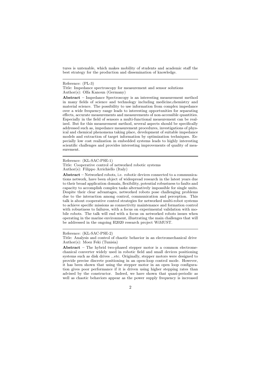tures is untenable, which makes mobility of students and academic staff the best strategy for the production and dissemination of knowledge.

Reference: (PL-3)

Title: Impedance spectroscopy for measurement and sensor solutions Author(s): Olfa Kanoun (Germany)

Abstract – Impedance Spectroscopy is an interesting measurement method in many fields of science and technology including medicine,chemistry and material science. The possibility to use information from complex impedance over a wide frequency range leads to interesting opportunities for separating effects, accurate measurements and measurements of non-accessible quantities. Especially in the field of sensors a multi-functional measurement can be realized. But for this measurement method, several aspects should be specifically addressed such as, impedance measurement procedures, investigations of physical and chemical phenomena taking place, development of suitable impedance models and extraction of target information by optimization techniques. Especially low cost realization in embedded systems leads to highly interesting scientific challenges and provides interesting improvements of quality of measurement.

Reference: (KL-SAC-PSE-1)

Title: Cooperative control of networked robotic systems Author(s): Filippo Arrichiello (Italy)

Abstract – Networked robots, i.e. robotic devices connected to a communications network, have been object of widespread research in the latest years due to their broad application domain, flexibility, potential robustness to faults and capacity to accomplish complex tasks alternatively impossible for single units. Despite their clear advantages, networked robots pose challenging problems due to the interaction among control, communication and perception. This talk is about cooperative control strategies for networked multi-robot systems to achieve specific missions as connectivity maintenance and formation control with robustness to failures, with a focus on experimental validation with mobile robots. The talk will end with a focus on networked robots issues when operating in the marine environment, illustrating the main challenges that will be addressed in the ongoing H2020 research project WiMUST.

Reference: (KL-SAC-PSE-2)

Title: Analysis and control of chaotic behavior in an electromechanical drive Author(s): Moez Feki (Tunisia)

Abstract – The hybrid two-phased stepper motor is a common electromechanical converter widely used in robotic field and small devices positioning systems such as disk drives ...etc. Originally, stepper motors were designed to provide precise discrete positioning in an open-loop control mode. However, it has been shown that using the stepper motor in an open loop configuration gives poor performance if it is driven using higher stepping rates than advised by the constructor. Indeed, we have shown that quasi-periodic as well as chaotic behaviors appear as the power supply frequency is increased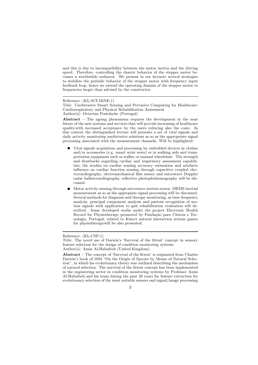and this is due to incompatibility between the motor inertia and the driving speed. Therefore, controlling the chaotic behavior of the stepper motor becomes a worthwhile endeavor. We present in our keynote several strategies to stabilize the periodic behavior of the stepper motor with frequency input feedback loop, hence we extend the operating domain of the stepper motor to frequencies larger than advised by the constructor.

#### Reference: (KL-SCI-MiNE-1)

Title: Unobtrusive Smart Sensing and Pervasive Computing for Healthcare: Cardiorespiratory and Physical Rehabilitation Assessment Author(s): Octavian Postolache (Portugal)

Abstract – The ageing phenomena requires the development in the near future of the new systems and services that will provide increasing of healthcare quality,with increased acceptance by the users reducing also the costs. In this context the distinguished lecture will presents a set of vital signals and daily activity monitoring unobtrusive solutions as so as the appropriate signal processing associated with the measurement channels. Will be highlighted:

- Vital signals acquisition and processing by embedded devices in clothes and/or accessories (e.g. smart wrist worn) or in walking aids and transportation equipment such as walker or manual wheelchair. The strength and drawbacks regarding cardiac and respiratory assessment capabilities, the studies on cardiac sensing accuracy estimation and artefacts influence on cardiac function sensing through capacitive coupled electrocardiography, electromechanical film sensor and microwave Doppler radar ballistocardiography, reflective photoplethismography will be discussed.
- Motor activity sensing through microwave motion sensor, MEMS inertial measurement as so as the appropiate signal processing will be discussed. Several methods for diagnosis and therapy monitoring, as time frequency analysis, principal component analysis and pattern recognition of motion signals with application to gait rehabilitation evaluation will described. Some developed works under the project Electronic Health Record for Physiotherapy promoted by Fundação para Ciência e Tecnologia, Portugal, related to Kinect natural interaction serious games for physiotherapywill be also presented.

Reference: (KL-CSP-1)

Title: The novel use of Darwin's 'Survival of the fittest' concept in sensory feature selection for the design of condition monitoring systems Author(s): Amin Al-Habaibeh (United Kingdom)

Abstract – The concept of 'Survival of the fittest' is originated from Charles Darwin's book of 1859 "On the Origin of Species by Means of Natural Selection", in which his evolutionary theory was outlined describing the mechanism of natural selection. The survival of the fittest concept has been implemented in the engineering sector in condition monitoring systems by Professor Amin Al-Habaibeh and his team during the past 20 years for feature extraction for evolutionary selection of the most suitable sensors and signal/image processing

<sup>3</sup>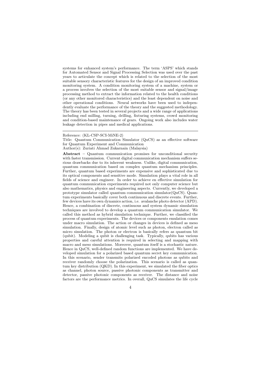systems for enhanced system's performance. The term 'ASPS' which stands for Automated Sensor and Signal Processing Selection was used over the past years to articulate the concept which is related to the selection of the most suitable sensory characteristic features for the design of an improved condition monitoring system. A condition monitoring system of a machine, system or a process involves the selection of the most suitable sensor and signal/image processing method to extract the information related to the health conditions (or any other monitored characteristics) and the least dependent on noise and other operational conditions. Neural networks have been used to independently evaluate the performance of the theory and the suggested methodology. The theory has been tested in several projects and a wide range of applications including end milling, turning, drilling, fixturing systems, crowd monitoring and condition-based maintenance of gears. Ongoing work also includes water leakage detection in pipes and medical applications.

Author(s): Zuriati Ahmad Zukarnain (Malaysia)

Abstract – Quantum communication promises for unconditional security with faster transmission. Current digital communication mechanism suffers serious drawbacks due to its inherent weakness. Unlike, digital communication, quantum communication based on complex quantum mechanism principles. Further, quantum based experiments are expensive and sophisticated due to its optical components and sensitive mode. Simulation plays a vital role in all fields of science and engineer. In order to achieve en effective simulation for quantum communication experiments required not only computer science but also mathematics, physics and engineering aspects. Currently, we developed a prototype simulator called quantum communication simulator(QuCS). Quantum experiments basically cover both continuous and discrete events. Further, few devices have its own dynamics action, i.e. avalanche photo detector (APD). Hence, a combination of discrete, continuous and system dynamic simulation techniques are involved to develop a quantum communication simulator. We called this method as hybrid simulation technique. Further, we classified the process of quantum experiments. The devices or components emulation comes under macro simulation. The action or changes in devices is defined as meso simulation. Finally, design of atomic level such as photon, electron called as micro simulation. The photon or electron is basically refers as quantum bit (qubit). Modeling a qubit is challenging task. Typically, qubits has various properties and careful attention is required in selecting and mapping with macro and meso simulations. Moreover, quantum itself is a stochastic nature. Hence in QuCS, well-defined random functions are implemented. We have developed simulation for a polarized based quantum secret key communication. In this scenario, sender transmits polarized encoded photons as qubits and receiver randomly choose the polarization. This scenario is called as quantum key distribution (QKD). In this experiment, we simulated the fiber optics as channel, photon source, passive photonic components as transmitter and detector, passive photonic components as receiver. The distance and noise factors are the performance metrics. In overall, QuCS simulates the life cycle

Reference: (KL-CSP-SCI-MiNE-2)

Title: Quantum Communication Simulator (QuCS) as an effective software for Quantum Experiment and Communication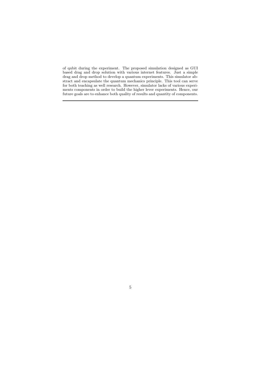of qubit during the experiment. The proposed simulation designed as GUI based drag and drop solution with various internet features. Just a simple drag and drop method to develop a quantum experiments. This simulator abstract and encapsulate the quantum mechanics principle. This tool can serve for both teaching as well research. However, simulator lacks of various experiments components in order to build the higher lever experiments. Hence, our future goals are to enhance both quality of results and quantity of components.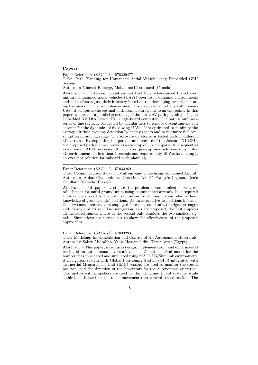### Papers

Paper Reference: (SAC-1-1) 1570329477

Title: Path Planning for Unmanned Aerial Vehicle using Embedded GPU System

Author(s): Vincent Roberge, Mohammed Tarbouchi (Canada)

Abstract – Unlike commercial airlines that fly predetermined trajectories, military unmanned aerial vehicles (UAVs) operate in dynamic environments and must often adjust their itinerary based on the developing conditions during the mission. The path planner module is a key element of any autonomous UAV. It computes the optimal path from a start point to an end point. In this paper, we present a parallel genetic algorithm for UAV path planning using an embedded NVIDIA Jetson TX1 single-board computer. The path is built as a series of line segment connected by circular arcs to remove discontinuities and account for the dynamics of fixed wing UAVs. It is optimized to minimize the average altitude avoiding detection by enemy radars and to minimize fuel consumption improving range. The software developed is tested on four different 3D terrains. By exploiting the parallel architecture of the Jetson TX1 GPU, the proposed path planner provides a speedup of 33x compared to a sequential execution on ARM processor. It calculates quasi optimal solutions in complex 3D environments in less than 4 seconds and requires only 10 Watts, making it an excellent solution for onboard path planning.

Paper Reference: (SAC-1-2) 1570332691

Title: Communication Relay for Multi-ground Units using Unmanned Aircraft Author(s): Abbas Chamseddine, Ouassima Akhrif, François Gagnon, Denis Couillard (Canada–Turkey)

Abstract – This paper investigates the problem of communication relay establishment for multi-ground units using anunmanned aircraft. It is required t odrive the aircraft to the optimal position for communication relay without knowledge of ground units' positions. As an alternative to positions information, two measurements a re-employed for each ground unit, the signal strength and its angle of arrival. Two navigation laws are proposed, the first employs all measured signals where as the second only employs the two smallest signals. Simulations are carried out to show the effectiveness of the proposed approaches.

Paper Reference: (SAC-1-3) 1570332831

Title: Modeling, Implementation and Control of An Autonomous Hovercraft Author(s): Saber Abdrabbo, Yehia Hossamel-din, Tarek Anter (Egypt)

Abstract – This paper, introduces design, implementation, and experimental testing of an autonomous hovercraft vehicle. A mathematical model for the hovercraft is considered and simulated using MATLAB/Simulink environment. A navigation system with Global Positioning System (GPS) integrated with an Inertial Measurement Unit (IMU) sensors are used to monitor the speed, position, and the direction of the hovercraft for the autonomous operation. Two motors with propellers are used for the lifting and thrust systems, while a third one is used for the radar movement that controls the direction. The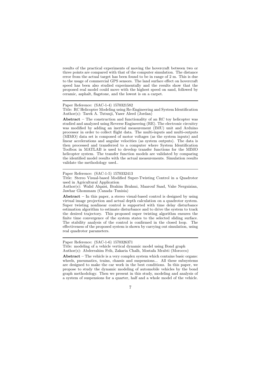results of the practical experiments of moving the hovercraft between two or three points are compared with that of the computer simulation. The distance error from the actual target has been found to be in range of 2 m. This is due to the usage of commercial GPS sensors. The land surface effect on hovercraft speed has been also studied experimentally and the results show that the proposed real model could move with the highest speed on sand, followed by ceramic, asphalt, flagstone, and the lowest is on a carpet.

Paper Reference: (SAC-1-4) 1570321582

Title: RC Helicopter Modeling using Re-Engineering and System Identification Author(s): Tarek A. Tutunji, Yaser Aleed (Jordan)

Abstract – The construction and functionality of an RC toy helicopter was studied and analyzed using Reverse Engineering (RE). The electronic circuitry was modified by adding an inertial measurement (IMU) unit and Arduino processor in order to collect flight data. The multi-inputs and multi-outputs (MIMO) data set is composed of motor voltages (as the system inputs) and linear accelerations and angular velocities (as system outputs). The data is then processed and transferred to a computer where System Identification Toolbox in MATLAB is used to develop transfer functions for the MIMO helicopter system. The transfer function models are validated by comparing the identified model results with the actual measurements. Simulation results validate the methodology used..

Paper Reference: (SAC-1-5) 1570332413

Author(s): Walid Alqaisi, Brahim Brahmi, Maarouf Saad, Vahe Nerguizian, Jawhar Ghommam (Canada–Tunisia)

Abstract – In this paper, a stereo visual-based control is designed by using virtual image projection and actual depth calculation on a quadrotor system. Super twisting nonlinear control is supported with time delay disturbance estimation algorithm to estimate disturbance and to drive the system to track the desired trajectory. This proposed super twisting algorithm ensures the finite time convergence of the system states to the selected sliding surface. The stability analysis of the control is confirmed in the closed loop. The effectiveness of the proposed system is shown by carrying out simulation, using real quadrotor parameters.

Title: Stereo Visual-based Modified Super-Twisting Control in a Quadrotor used in Agricultural Application

Paper Reference: (SAC-1-6) 1570326371

Title: modeling of a vehicle vertical dynamic model using Bond graph Author(s): Abderrahim Frih, Zakaria Chalh, Mostafa Mrabti (Morocco)

Abstract – The vehicle is a very complex system which contains basic organs: wheels, pneumatics, trains, chassis and suspensions... All these subsystems are designed to make the car work in the best conditions. In this paper, we propose to study the dynamic modeling of automobile vehicles by the bond graph methodology. Then we present in this study, modeling and analysis of a system of suspensions for a quarter, half and a whole model of the vehicle.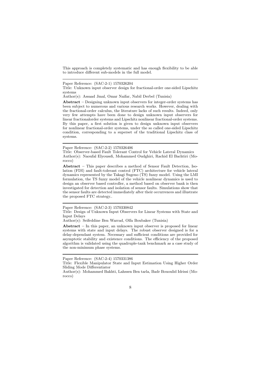This approach is completely systematic and has enough flexibility to be able to introduce different sub-models in the full model.

Paper Reference: (SAC-2-1) 1570326204

Title: Unknown input observer design for fractional-order one-sided Lipschitz systems

Author(s): Assaad Jmal, Omar Naifar, Nabil Derbel (Tunisia)

Abstract – Designing unknown input observers for integer-order systems has been subject to numerous and various research works. However, dealing with the fractional-order calculus, the literature lacks of such results. Indeed, only very few attempts have been done to design unknown input observers for linear fractionalorder systems and Lipschitz nonlinear fractional-order systems. By this paper, a first solution is given to design unknown input observers for nonlinear fractional-order systems, under the so called one-sided Lipschitz condition, corresponding to a superset of the traditional Lipschitz class of systems.

Paper Reference: (SAC-2-2) 1570326406

Title: Observer-based Fault Tolerant Control for Vehicle Lateral Dynamics Author(s): Naoufal Elyoussfi, Mohammed Oudghiri, Rachid El Bachtiri (Morocco)

Abstract – This paper describes a method of Sensor Fault Detection, Isolation (FDI) and fault-tolerant control (FTC) architecture for vehicle lateral dynamics represented by the Takagi Sugeno (TS) fuzzy model. Using the LMI formulation, the TS fuzzy model of the vehicle nonlinear dynamics is used to design an observer based controller, a method based on observer bank is then investigated for detection and isolation of sensor faults. Simulations show that the sensor faults are detected immediately after their occurrences and illustrate the proposed FTC strategy..

Paper Reference: (SAC-2-3) 1570330842

Title: Design of Unknown Input Observers for Linear Systems with State and Input Delays

Author(s): Seifeddine Ben Warrad, Olfa Boubaker (Tunisia)

Abstract – In this paper, an unknown input observer is proposed for linear systems with state and input delays. The robust observer designed is for a delay-dependant system. Necessary and sufficient conditions are provided for asymptotic stability and existence conditions. The efficiency of the proposed algorithm is validated using the quadruple-tank benchmark as a case study of the non-minimum phase systems.

Paper Reference: (SAC-2-4) 1570331386

Author(s): Mohammed Bakhti, Lahssen Ben tarla, Badr Bououlid Idrissi (Morocco)



Title: Flexible Manipulator State and Input Estimation Using Higher Order Sliding Mode Differentiator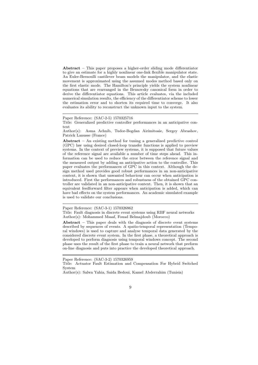Abstract – This paper proposes a higher-order sliding mode differentiator to give an estimate for a highly nonlinear one-link flexible manipulator state. An Euler-Bernoulli cantilever beam models the manipulator, and the elastic movement is approximated using the assumed modes method based only on the first elastic mode. The Hamilton's principle yields the system nonlinear equations that are rearranged in the Brunovsky canonical form in order to derive the differentiator equations. This article evaluates, via the included numerical simulation results, the efficiency of the differentiator scheme to lower the estimation error and to shorten its required time to converge. It also evaluates its ability to reconstruct the unknown input to the system.

Paper Reference: (SAC-2-5) 1570325716

Author(s): Asma Achnib, Tudor-Bogdan Airimitoaie, Sergey Abrashov, Patrick Lanusse (France)

Abstract – An existing method for tuning a generalized predictive control (GPC) law using desired closed-loop transfer functions is applied to preview systems. In the context of preview systems, it is supposed that future values of the reference signal are available a number of time steps ahead. This information can be used to reduce the error between the reference signal and the measured output by adding an anticipative action to the controller. This paper evaluates the performances of GPC in this context. Although the design method used provides good robust performances in an non-anticipative context, it is shown that unwanted behaviour can occur when anticipation is introduced. First the performances and robustness of the obtained GPC controller are validated in an non-anticipative context. Then, it is shown that an equivalent feedforward filter appears when anticipation is added, which can have bad effects on the system performances. An academic simulated example is used to validate our conclusions.

Paper Reference: (SAC-3-1) 1570326862

Title: Fault diagnosis in discrete event systems using RBF neural networks Author(s): Mohammed Msaaf, Fouad Belmajdoub (Morocco)

Abstract – This paper deals with the diagnosis of discrete event systems described by sequences of events. A spatio-temporal representation (Temporal windows) is used to capture and analyse temporal data generated by the considered discrete event system. In the first phase, a theoretical approach is developed to perform diagnosis using temporal windows concept. The second phase uses the result of the first phase to train a neural network that preform on-line diagnosis and puts into practice the developed theoretical approach.

Paper Reference: (SAC-3-2) 1570326959

Author(s): Salwa Yahia, Saida Bedoui, Kamel Abderrahim (Tunisia)



Title: Generalized predictive controller performances in an anticipative context

Title: Actuator Fault Estimation and Compensation For Hybrid Switched System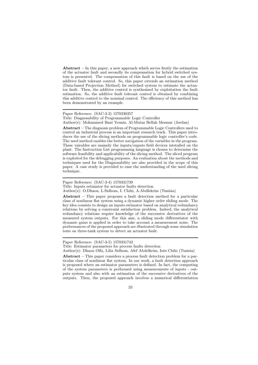Abstract  $-$  In this paper, a new approach which serves firstly the estimation of the actuator fault and secondly its compensation for hybrid switched system is presented. The compensation of this fault is based on the use of the additive fault tolerant control. So, this paper extends an estimation method (Data-based Projection Method) for switched system to estimate the actuator fault. Then, the additive control is synthesized by exploitation the fault estimation. So, the additive fault tolerant control is obtained by combining this additive control to the nominal control. The efficiency of this method has been demonstrated by an example.

Paper Reference: (SAC-3-3) 1570330357 Title: Diagnosability of Programmable Logic Controller Author(s): Mohammed Bani Younis, Al-Mutaz Bellah Mesmar (Jordan)

Abstract – The diagnosis problem of Programmable Logic Controllers used to control an industrial process is an important research track. This paper introduces the use of the slicing methods on programmable logic controller's code. The used method enables the better navigation of the variables in the program. These vairables are mainely the inputs/ouputs field devices intstalled on the plant. The Instruction List programming language is chosen to determine the software feasibility and applicability of the slicing method. The sliced program is exploited for the debugging purposes. An evaluation about the methods and techniques used for the Diagnosability are also provided in the scope of this paper. A case study is provided to ease the understanding of the used slicing technique.

Paper Reference: (SAC-3-4) 1570331739 Title: Inputs estimator for actuator faults detection

Author(s): O.Dhaou, L.Sidhom, I. Chihi, A.Abdlekrim (Tunisia)

Abstract – This paper proposes a fault detection method for a particular class of nonlinear flat system using a dynamic higher order sliding mode. The key idea consists to design an inputs estimator based on analytical redundancy relations by solving a constraint satisfaction problem. Indeed, the analytical redundancy relations require knowledge of the successive derivatives of the measured system outputs. For this aim, a sliding mode differentiator with dynamic gains is applied in order to take account a measurement noise. The performances of the proposed approach are illustrated through some simulation tests on three-tank system to detect an actuator fault.

Paper Reference: (SAC-3-5) 1570331742

Title: Estimator parameters for process faults detection

Author(s): Dhaou Olfa, Lilia Sidhom, Afef Abdelkrim, Inès Chihi (Tunisia)

Abstract – This paper considers a process fault detection problem for a particular class of nonlinear flat system. In our work, a fault detection approach is proposed where an estimator parameters is defined. In fact, the computing of the system parameters is performed using measurements of inputs - outputs system and also with an estimation of the successive derivatives of the outputs. Then, the proposed approach involves a numerical differentiation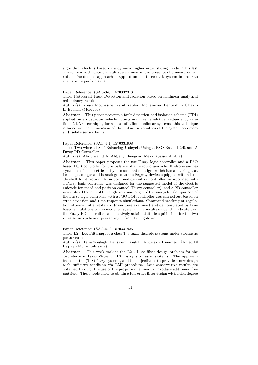algorithm which is based on a dynamic higher order sliding mode. This last one can correctly detect a fault system even in the presence of a measurement noise. The defined approach is applied on the three-tank system in order to evaluate its performance.

Paper Reference: (SAC-3-6) 1570332313

Title: Rotorcraft Fault Detection and Isolation based on nonlinear analytical redundancy relations

Author(s): Noura Mouhssine, Nabil Kabbaj, Mohammed Benbrahim, Chakib El Bekkali (Morocco)

Abstract – This paper presents a fault detection and isolation scheme (FDI) applied on a quadrotor vehicle. Using nonlinear analytical redundancy relations NLAR technique, for a class of affine nonlinear systems, this technique is based on the elimination of the unknown variables of the system to detect and isolate sensor faults.

Paper Reference: (SAC-4-1) 1570331908

Author(s): Abdulwahid A. Al-Saif, Elmegdad Mekki (Saudi Arabia)

Abstract – This paper proposes the use Fuzzy logic controller and a PSO based LQR controller for the balance of an electric unicycle. It also examines dynamics of the electric unicycle's schematic design, which has a backing seat for the passenger and is analogous to the Segway device equipped with a handle shaft for direction. A proportional derivative controller incorporated with a Fuzzy logic controller was designed for the suggested model of the electric unicycle for speed and position control (Fuzzy controller), and a PD controller was utilized to control the angle rate and angle of the unicycle. Comparison of the Fuzzy logic controller with a PSO LQR controller was carried out based on error deviation and time response simulations. Command tracking or regulation of some initial state condition were examined and demonstrated by time based simulations of the modelled system. The results evidently indicate that the Fuzzy PD controller can effectively attain attitude equilibrium for the two wheeled unicycle and preventing it from falling down.

Paper Reference: (SAC-4-2) 1570331925

Title:  $L2$  -  $L\infty$  Filtering for a class T-S fuzzy discrete systems under stochastic perturbation

Author(s): Taha Zoulagh, Bensalem Boukili, Abdelaziz Hmamed, Ahmed El Hajjaji (Morocco-France)

Abstract – This work tackles the L2 - L  $\infty$  filter design problem for the discrete-time Takagi-Sugeno (TS) fuzzy stochastic systems. The approach based on the (T-S) fuzzy systems, and the objective is to provide a new design with sufficient condition via LMI procedure. Less conservative results are obtained through the use of the projection lemma to introduce additional free matrices. These tools allow to obtain a full-order filter design with extra degree

Title: Two-wheeled Self Balancing Unicycle Using a PSO Based LQR and A Fuzzy PD Controller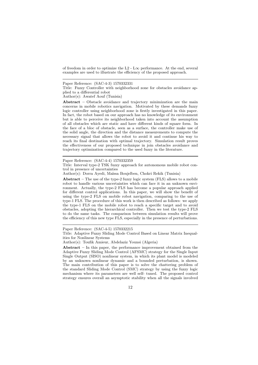of freedom in order to optimize the L2 - L $\infty$  performance. At the end, several examples are used to illustrate the efficiency of the proposed approach.

Paper Reference: (SAC-4-3) 1570332331

Title: Fuzzy Controller with neighborhood zone for obstacles avoidance applied to a differential robot

Author(s): Awatef Aouf (Tunisia)

Abstract – Obstacle avoidance and trajectory minimization are the main concerns in mobile robotics navigation. Motivated by these demands fuzzy logic controller using neighborhood zone is firstly investigated in this paper. In fact, the robot based on our approach has no knowledge of its environment but is able to perceive its neighborhood taken into account the assumption of all obstacles which are static and have different kinds of square form. In the face of a bloc of obstacle, seen as a surface, the controller make use of the solid angle, the direction and the distance measurements to compute the necessary signal that allows the robot to avoid it and continue his way to reach its final destination with optimal trajectory. Simulation result proves the effectiveness of our proposed technique in join obstacles avoidance and trajectory optimization compared to the used fuzzy in the literature.

Paper Reference: (SAC-4-4) 1570332359

Title: Interval type-2 TSK fuzzy approach for autonomous mobile robot control in presence of uncertainties

Abstract – The use of the type-2 fuzzy logic system  $(FLS)$  allows to a mobile robot to handle various uncertainties which can face it in an unknown environment. Actually, the type-2 FLS has become a popular approach applied for different control applications. In this paper, we will show the benefit of using the type-2 FLS on mobile robot navigation, comparing to the use of type-1 FLS. The procedure of this work is then described as follows: we apply the type-1 FLS on the mobile robot to reach a specific target and to avoid obstacles, adopting the hierarchical controller. Then we test the type-2 FLS to do the same tasks. The comparison between simulation results will prove the efficiency of this new type FLS, especially in the presence of perturbations.

Paper Reference: (SAC-4-5) 1570332215

Author(s): Toufik Amieur, Abdelaziz Younsi (Algeria)

Abstract – In this paper, the performance improvement obtained from the Adaptive Fuzzy Sliding Mode Control (AFSMC) strategy for the Single Input Single Output (SISO) nonlinear system, in which its plant model is modeled by an unknown nonlinear dynamic and a bounded perturbation, is shown. The main contribution of this paper is to solve the chattering problem of the standard Sliding Mode Control (SMC) strategy by using the fuzzy logic mechanism where its parameters are well self- tuned. The proposed control strategy ensures overall an asymptotic stability when all the signals involved

Author(s): Dorra Ayedi, Ma¨ıssa Boujelben, Chokri Rekik (Tunisia)

Title: Adaptive Fuzzy Sliding Mode Control Based on Linear Matrix Inequalities for Nonlinear Systems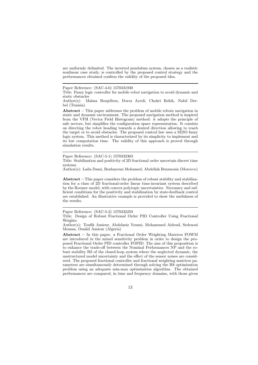are uniformly delimited. The inverted pendulum system, chosen as a realistic nonlinear case study, is controlled by the proposed control strategy and the performances obtained confirm the validity of the proposed idea.

Paper Reference: (SAC-4-6) 1570331930

Title: Fuzzy logic controller for mobile robot navigation to avoid dynamic and static obstacles

Author(s): Maïssa Boujelben, Dorra Ayedi, Chokri Rekik, Nabil Derbel (Tunisia)

Abstract – This paper addresses the problem of mobile robots navigation in static and dynamic environment. The proposed navigation method is inspired from the VFH (Vector Field Histogram) method: it adopts the principle of safe sectors, but simplifies the configuration space representation. It consists on directing the robot heading towards a desired direction allowing to reach the target or to avoid obstacles. The proposed control law uses a SI|SO fuzzy logic system. This method is characterized by its simplicity to implement and its low computation time. The validity of this approach is proved through simulation results.

Paper Reference: (SAC-5-1) 1570332303

Title: Stabilization and positivity of 2D fractional order uncertain discret time systems

Author(s): Laila Dami, Benhayoun Mohamed, Abdellah Benzaouia (Morocco)

Abstract – This paper considers the problem of robust stability and stabilization for a class of 2D fractional-order linear time-invariant system described by the Roesser model, with convex polytopic uncertainties. Necessary and sufficient conditions for the positivity and stabilization by state-feedback control are established. An illustrative example is provided to show the usefulness of the results.

Paper Reference: (SAC-5-2) 1570332259

Title: Design of Robust Fractional Order PID Controller Using Fractional Weights

Author(s): Toufik Amieur, Abdelaziz Younsi, Mohammed Aidoud, Sedraoui Moussa, Oualid Amieur (Algeria)

Abstract – In this paper, a Fractional Order Weighting Matrices FOWM are introduced in the mixed sensitivity problem in order to design the proposed Fractional Order PID controller FOPID. The aim of this proposition is to enhance the trade-off between the Nominal Performances NP and the robust stability RS of the closed-loop system where the neglected dynamic, the unstructured model uncertainty and the effect of the sensor noises are considered. The proposed fractional controller and fractional weighting matrices parameters are simultaneously determined through solving the H8 optimization problem using an adequate min-max optimization algorithm. The obtained performances are compared, in time and frequency domains, with those given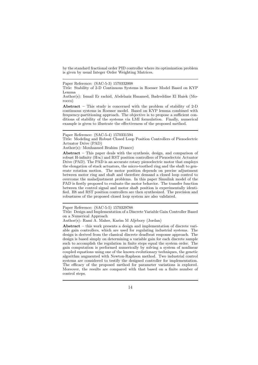by the standard fractional order PID controller where its optimization problem is given by usual Integer Order Weighting Matrices.

Paper Reference: (SAC-5-3) 1570332008

Title: Stability of 2-D Continuous Systems in Roesser Model Based on KYP Lemma

Author(s): Ismail Er rachid, Abdelaziz Hmamed, Badreddine El Haiek (Morocco)

Abstract – This study is concerned with the problem of stability of 2-D continuous systems in Roesser model. Based on KYP lemma combined with frequency-partitioning approach. The objective is to propose a sufficient conditions of stability of the systems via LMI formulation. Finally, numerical example is given to illustrate the effectiveness of the proposed method.

Author(s): Mouhanned Brahim (France)

Abstract – This paper deals with the synthesis, design, and comparison of robust H-infinity (H∞) and RST position controllers of Piezoelectric Actuator Drive (PAD). The PAD is an accurate rotary piezoelectric motor that employs the elongation of stack actuators, the micro-toothed ring and the shaft to generate rotation motion. The motor position depends on precise adjustment between motor ring and shaft and therefore demand a closed loop control to overcome the maladjustment problems. In this paper Simulink model of the PAD is firstly proposed to evaluate the motor behavior. The transfer function between the control signal and motor shaft position is experimentally identified. H8 and RST position controllers are then synthesized. The precision and robustness of the proposed closed loop system are also validated.

Paper Reference: (SAC-5-5) 1570329788

Title: Design and Implementation of a Discrete Variable Gain Controller Based on a Numerical Approach

Author(s): Rami A. Maher, Karim M Aljebory (Jordan)

Abstract – this work presents a design and implementation of discrete variable gain controllers, which are used for regulating industrial systems. The design is derived from the classical discrete deadbeat response approach. The design is based simply on determining a variable gain for each discrete sample such to accomplish the regulation in finite steps equal the system order. The gain computation is performed numerically by solving a system of nonlinear coupled equations using one of the known evolutionary techniques, the genetic algorithm augmented with Newton-Raphson method. Two industrial control systems are considered to testify the designed controller for implementation. The efficacy of the proposed method for parameter variations is explored. Moreover, the results are compared with that based on a finite number of control steps.

Paper Reference: (SAC-5-4) 1570331594

Title: Modeling and Robust Closed Loop Position Controllers of Piezoelectric Actuator Drive (PAD)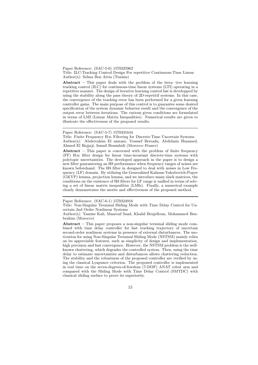Paper Reference: (SAC-5-6) 1570325962

Title: ILC-Tracking Control Design For repetitive Continuous-Time Linear Author(s): Selma Ben Attia (Tunisia)

Abstract – This paper deals with the problem of the itera- tive learning tracking control (ILC) for continuous-time linear systems (LTI) operating in a repetitive manner. The design of iterative learning control law is developped by using the stability along the pass theory of 2D-repetitif systems. In this case, the convergence of the tracking error has been performed for a given learning controller gains. The main purpose of this control is to guarantee some desired specification of the system dynamic behavior result and the convergence of the output error between iterations. The various given conditions are formulated in terms of LMI (Linear Matrix Inequalities). Numerical results are given to illustrate the effectiveness of the proposed results.

Abstract – This paper is concerned with the problem of finite frequency  $(FF)$  H $\infty$  filter design for linear time-invariant discrete-time systems with polytopic uncertainties. The developed approach in the paper is to design a new filter guaranteeing an H8 performance when frequency ranges of noises are known beforehand. The H8 filter in designed to deal with noises in Low Frequency (LF) domain. By utilizing the Generalized Kalman-Yakubovich-Popov (GKYP) lemma, projection lemma, and we introduce many slack matrices, the conditions on the existence of H8 filters for LF range is unified in terms of solving a set of linear matrix inequalities (LMIs). Finally, a numerical example clearly demonstrates the merits and effectiveness of the proposed method.

Paper Reference: (SAC-6-1) 1570324916

Title: Non-Singular Terminal Sliding Mode with Time Delay Control for Uncertain 2nd Order Nonlinear Systems

Abstract – This paper proposes a non-singular terminal sliding mode combined with time delay controller for fast tracking trajectory of uncertain second-order nonlinear systems in presence of external disturbances. The motivation for using Non-Singular Terminal Sliding Mode (NSTSM) mainly relies on its appreciable features, such as simplicity of design and implementation, high precision and fast convergence. However, the NSTSM problem is the wellknown chattering, which degrades the controlled system. Then, using the time delay to estimate uncertainties and disturbances allows chattering reduction. The stability and the robustness of the proposed controller are verified by using the classical Lyapunov criterion. The proposed controller is implemented in real time on the seven-degrees-of-freedom (7-DOF) ANAT robot arm and compared with the Sliding Mode with Time Delay Control (SMTDC) with classical sliding surface to prove its superiority.

Paper Reference: (SAC-5-7) 1570331644

Title: Finite Frequency H∞ Filtering for Discrete-Time Uncertain Systems Author(s): Abderrahim El amrani, Youssef Berrada, Abdelaziz Hmamed, Ahmed El Hajjaji, Ismail Boumhidi (Morocco–France)

Author(s): Yassine Kali, Maarouf Saad, Khalid Benjelloun, Mohammed Benbrahim (Morocco)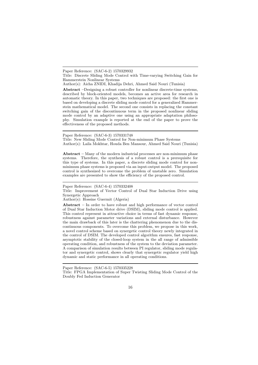Author(s): Aicha ZNIDI, Khadija Dehri, Ahmed Said Nouri (Tunisia)

Abstract –Designing a robust controller for nonlinear discrete-time systems, described by block-oriented models, becomes an active area for research in automatic theory. In this paper, two techniques are proposed: the first one is based on developing a discrete sliding mode control for a generalized Hammerstein mathematical model. The second one consists in replacing the constant switching gain of the discontinuous term in the proposed nonlinear sliding mode control by an adaptive one using an appropriate adaptation philosophy. Simulation example is reported at the end of the paper to prove the effectiveness of the proposed methods.

Paper Reference: (SAC-6-3) 1570331748 Title: New Sliding Mode Control for Non-minimum Phase Systems Author(s): Laila Mokhtar, Houda Ben Mansour, Ahmed Said Nouri (Tunisia)

Abstract – Many of the modern industrial processes are non-minimum phase systems. Therefore, the synthesis of a robust control is a prerequisite for this type of systems. In this paper, a discrete sliding mode control for nonminimum phase systems is proposed via an input-output model. The proposed control is synthesized to overcome the problem of unstable zero. Simulation examples are presented to show the efficiency of the proposed control.

Paper Reference: (SAC-6-4) 1570332408

Title: Improvement of Vector Control of Dual Star Induction Drive using Synergetic Approach

Author(s): Hossine Guermit (Algeria)

Abstract – In order to have robust and high performance of vector control of Dual Star Induction Motor drive (DSIM), sliding mode control is applied. This control represent in attractive choice in terms of fast dynamic response, robustness against parameter variations and external disturbance. However the main drawback of this later is the chattering phenomenon due to the discontinuous components. To overcome this problem, we propose in this work, a novel control scheme based on synergetic control theory newly integrated in the control of DSIM. The developed control algorithm ensures, fast response, asymptotic stability of the closed-loop system in the all range of admissible operating condition, and robustness of the system to the deviation parameter. A comparison of simulation results between PI regulator, sliding mode regulator and synergetic control, shows clearly that synergetic regulator yield high dynamic and static performance in all operating conditions.

Paper Reference: (SAC-6-5) 1570335228

Title: FPGA Implementation of Super Twisting Sliding Mode Control of the Doubly Fed Induction Generator

Paper Reference: (SAC-6-2) 1570329932

Title: Discrete Sliding Mode Control with Time-varying Switching Gain for Hammerstein Nonlinear Systems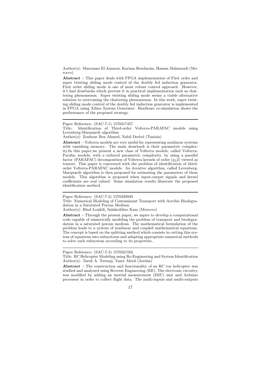Author(s): Marouane El Azzaoui, Karima Boudaraia, Hassan Mahmoudi (Morocco)

Abstract – This paper deals with FPGA implementation of First order and super twisting sliding mode control of the doubly fed induction generator. First order sliding mode is one of most robust control approach. However, it's had drawbacks which prevent it in practical implementation such as chattering phenomenon. Super twisting sliding mode seems a viable alternative solution to overcoming the chattering phenomenon. In this work, super twisting sliding mode control of the doubly fed induction generator is implemented in FPGA using Xilinx System Generator. Hardware co-simulation shows the performance of the proposed strategy.

Paper Reference: (SAC-7-1) 1570317457<br>Title: Identification of Third-order

Identification of Third-order Volterra-PARAFAC models using Levenberg-Marquardt algorithm

Author(s): Zouhour Ben Ahmed, Nabil Derbel (Tunisia)

Abstract – Volterra models are very useful for representing nonlinear systems with vanishing memory. The main drawback is their parametric complexity.In this paper,we present a new class of Volterra models, called Volterra-Parafac models, with a reduced parametric complexity, by using a parallel factor (PARAFAC) decomposition of Volterra kernels of order (p¿2) viewed as tensors. This paper is concerned with the problem of identification of thirdorder Volterra-PARAFAC models. An iterative algorithm, called Levenberg-Marquardt algorithm is then proposed for estimating the parameters of these models. This algorithm is proposed when input-output signals and kernel coefficients are real valued. Some simulation results illustrate the proposed identification method.

Paper Reference: (SAC-7-2) 1570329939

Title: Numerical Modeling of Contaminant Transport with Aerobic Biodegradation in a Saturated Porous Medium

Author(s): Hind Loukili, Salaheddine Kam (Morocco)

Abstract – Through the present paper, we aspire to develop a computational code capable of numerically modeling the problem of transport and biodegradation in a saturated porous medium. The mathematical formulation of the problem leads to a system of nonlinear and coupled mathematical equations. The concept is based on the splitting method which consists in cutting this system of equations into subsystems and adapting appropriate numerical methods to solve each subsystem according to its properties..

Paper Reference: (SAC-7-3) 1570321582

Title: RC Helicopter Modeling using Re-Engineering and System Identification Author(s): Tarek A. Tutunji, Yaser Aleed (Jordan)

Abstract – The construction and functionality of an RC toy helicopter was studied and analyzed using Reverse Engineering (RE). The electronic circuitry was modified by adding an inertial measurement (IMU) unit and Arduino processor in order to collect flight data. The multi-inputs and multi-outputs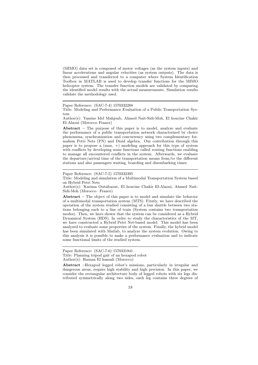(MIMO) data set is composed of motor voltages (as the system inputs) and linear accelerations and angular velocities (as system outputs). The data is then processed and transferred to a computer where System Identification Toolbox in MATLAB is used to develop transfer functions for the MIMO helicopter system. The transfer function models are validated by comparing the identified model results with the actual measurements. Simulation results validate the methodology used.

Paper Reference: (SAC-7-4) 1570332288

Title: Modeling and Performance Evaluation of a Public Transportation System

Author(s): Yassine Idel Mahjoub, Ahmed Nait-Sidi-Moh, El houcine Chakir El-Alaoui (Morocco–France)

Abstract – The purpose of this paper is to model, analyze and evaluate the performance of a public transportation network characterized by choice phenomena, synchronization and concurrency using two complementary formalism Petri Nets (PN) and Dioid algebra. Our contribution through this paper is to propose a  $(max, +)$  modeling approach for this type of system with conflicts by developing some functions called routing functions enabling to manage all encountered conflicts in the system. Afterwards, we evaluate the departure/arrival time of the transportation means from/to the different stations and also passengers waiting, boarding and disembarking times.

Paper Reference: (SAC-7-5) 1570332395

Author(s): Karima Outafraout, El houcine Chakir El-Alaoui, Ahmed Nait-Sidi-Moh (Morocco– France)

Abstract – The object of this paper is to model and simulate the behavior of a multimodal transportation system (MTS). Firstly, we have described the operation of the system studied consisting of a bus shuttle between two stations belonging each to a line of train (System contains two transportation modes). Then, we have shown that the system can be considered as a Hybrid Dynamical System (HDS). In order to study the characteristics of the MT, we have constructed a Hybrid Petri Net-based model. This model has been analyzed to evaluate some properties of the system. Finally, the hybrid model has been simulated with Matlab, to analyze the system evolution. Owing to this analysis it is possible to make a performance evaluation and to indicate some functional limits of the studied system.

Paper Reference: (SAC-7-6) 1570331941 Title: Planning tripod gait of an hexapod robot Author(s): Hasnaa El hansali (Morocco)

Abstract –Hexapod legged robot's missions, particularly in irregular and dangerous areas, require high stability and high precision. In this paper, we consider the rectangular architecture body of legged robots with six legs distributed symmetrically along two sides, each leg contains three degrees of



Title: Modeling and simulation of a Multimodal Transportation System based on Hybrid Petri Nets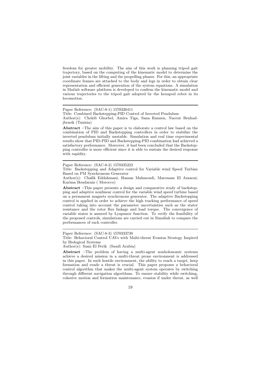freedom for greater mobility. The aim of this work is planning tripod gait trajectory, based on the computing of the kinematic model to determine the joint variables in the lifting and the propelling phases. For this, an appropriate coordinate frames are attached to the body and legs in order to obtain clear representation and efficient generation of the system equations. A simulation in Matlab software platform is developed to confirm the kinematic model and various trajectories to the tripod gait adopted by the hexapod robot in its locomotion.

Paper Reference: (SAC-8-1) 1570326411 Title: Combined Backstepping-PID Control of Inverted Pendulum Author(s): Chekib Ghorbel, Amira Tiga, Sana Rannen, Naceur Benhadjbrarik (Tunisia)

Abstract –The aim of this paper is to elaborate a control law based on the combination of PID and Backstepping controllers in order to stabilize the inverted pendulum initially unstable. Simulation and real time experimental results show that PID-PID and Backstepping-PID combination had achieved a satisfactory performance. Moreover, it had been concluded that the Backstepping controller is more efficient since it is able to sustain the desired response with rapidity.

Paper Reference: (SAC-8-2) 1570335223

Title: Backstepping and Adaptive control for Variable wind Speed Turbine Based on PM Synchronous Generator

Author(s): Chafik Eddahmani, Hassan Mahmoudi, Marouane El Azzaoui, Karima Boudaraia ( Morocco)

Abstract –This paper presents a design and comparative study of backstepping and adaptive nonlinear control for the variable wind speed turbine based on a permanent magnets synchronous generator. The adaptive Backstepping control is applied in order to achieve the high tracking performance of speed control taking into account the parameter uncertainties such as the stator resistance and the rotor flux linkage and load torque. The convergence of variable states is assured by Lyapunov function. To verify the feasibility of the proposed controls, simulations are carried out in Simulink to compare the performances of each controller.

Paper Reference: (SAC-8-3) 1570333738 Title: Behavioral Control UAVs with Multi-threat Evasion Strategy Inspired by Biological Systems

Author(s): Sami El Ferik (Saudi Arabia)

Abstract –The problem of having a multi-agent nonholonomic systems achieve a desired mission in a multi-threat prone environment is addressed in this paper. In such hostile environment, the ability to reach a target, keep formation and evade a threat is crucial. This paper proposes a behavioral control algorithm that makes the multi-agent system operates by switching through different navigation algorithms. To ensure stability while switching, cohesive motion and formation maintenance, evasion if under threat, as well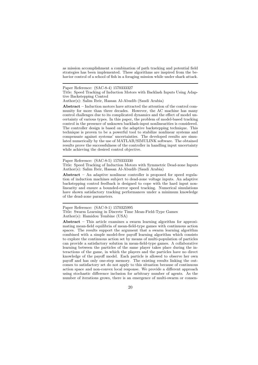as mission accomplishment a combination of path tracking and potential field strategies has been implemented. These algorithms are inspired from the behavior control of a school of fish in a foraging mission while under shark attack.

Paper Reference: (SAC-8-4) 1570333327

Title: Speed Tracking of Induction Motors with Backlash Inputs Using Adaptive Backstepping Control

Author(s): Salim Ibrir, Hassan Al-Abudib (Saudi Arabia)

Abstract – Induction motors have attracted the attention of the control community for more than three decades. However, the AC machine has many control challenges due to its complicated dynamics and the effect of model uncertainty of various types. In this paper, the problem of model-based tracking control in the presence of unknown backlash-input nonlinearities is considered. The controller design is based on the adaptive backstepping technique. This technique is proven to be a powerful tool to stabilize nonlinear systems and compensate against systems<sup>7</sup> uncertainties. The developed results are simulated numerically by the use of MATLAB/SIMULINK software. The obtained results prove the successfulness of the controller in handling input uncertainty while achieving the desired control objective.

Paper Reference: (SAC-8-5) 1570333330

Title: Speed Tracking of Induction Motors with Symmetric Dead-zone Inputs Author(s): Salim Ibrir, Hassan Al-Abudib (Saudi Arabia)

Abstract – An adaptive nonlinear controller is proposed for speed regulation of induction machines subject to dead-zone voltage inputs. An adaptive backstepping control feedback is designed to cope with the hard input nonlinearity and ensure a bounded-error speed tracking. Numerical simulations have shown satisfactory tracking performances under a minimum knowledge of the dead-zone parameters.

Paper Reference: (SAC-9-1) 1570325995 Title: Swarm Learning in Discrete Time Mean-Field-Type Games Author(s): Hamidou Tembine (USA)

Abstract – This article examines a swarm learning algorithm for approximating mean-field equilibria of mean-field-type games with continuous action spaces. The results support the argument that a swarm learning algorithm combined with a simple model-free payoff learning algorithm which consists to explore the continuous action set by means of multi-population of particles can provide a satisfactory solution in mean-field-type games. A collaborative learning between the particles of the same player takes place during the interactions of the game, in which the players and the particles have no direct knowledge of the payoff model. Each particle is allowed to observe her own payoff and has only one-step memory. The existing results linking the outcomes to satisfactory set do not apply to this situation because of continuous action space and non-convex local response. We provide a different approach using stochastic difference inclusion for arbitrary number of agents. As the number of iterations grows, there is an emergence of multi-swarm or consen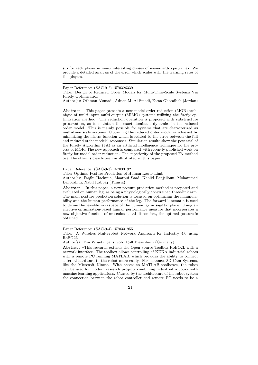sus for each player in many interesting classes of mean-field-type games. We provide a detailed analysis of the error which scales with the learning rates of the players.

Paper Reference: (SAC-9-2) 1570326339

Title: Design of Reduced Order Models for Multi-Time-Scale Systems Via Firefly Optimization

Author(s): Othman Alsmadi, Adnan M. Al-Smadi, Esraa Gharaibeh (Jordan)

Abstract – This paper presents a new model order reduction (MOR) technique of multi-input multi-output (MIMO) systems utilizing the firefly optimization method. The reduction operation is proposed with substructure preservation, as to maintain the exact dominant dynamics in the reduced order model. This is mainly possible for systems that are characterized as multi-time scale systems. Obtaining the reduced order model is achieved by minimizing the fitness function which is related to the error between the full and reduced order models' responses. Simulation results show the potential of the Firefly Algorithm (FA) as an artificial intelligence technique for the process of MOR. The new approach is compared with recently published work on firefly for model order reduction. The superiority of the proposed FA method over the other is clearly seen as illustrated in this paper.

Paper Reference: (SAC-9-3) 1570331921 Title: Optimal Posture Prediction of Human Lower Limb Author(s): Faqihi Hachmia, Maarouf Saad, Khalid Benjelloun, Mohammed Benbrahim, Nabil Kabbaj (Tunisia)

Abstract – In this paper, a new posture prediction method is proposed and evaluated on human leg, as being a physiologically constrained three-link arm. The main posture prediction solution is focused on optimizing the manipulability and the human performance of the leg. The forward kinematic is used to define the feasible workspace of the human leg in sagittal plane. Using an effective optimization-based human performance measure that incorporates a new objective function of musculoskeletal discomfort, the optimal posture is obtained.

Paper Reference: (SAC-9-4) 1570331955 Title: A Wireless Multi-robot Network Approach for Industry 4.0 using RoBO2L

Author(s): Tim Wruetz, Jens Golz, Rolf Biesenbach (Germany)

Abstract –This research extends the Open-Source Toolbox RoBO2L with a network interface. The toolbox allows controlling of KUKA industrial robots with a remote PC running MATLAB, which provides the ability to connect external hardware to the robot more easily. For instance, 3D Cam Systems, like the Microsoft Kinect. With access to MATLAB toolboxes, the robot can be used for modern research projects combining industrial robotics with machine learning applications. Caused by the architecture of the robot system the connection between the robot controller and remote PC needs to be a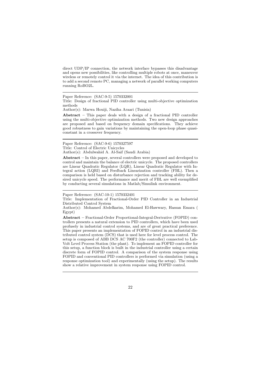direct UDP/IP connection, the network interface bypasses this disadvantage and opens new possibilities, like controlling multiple robots at once, maneuver wireless or remotely control it via the internet. The idea of this contribution is to add a second remote PC, managing a network of parallel working computers running RoBO2L.

Paper Reference: (SAC-9-5) 1570332001 Title: Design of fractional PID controller using multi-objective optimization methods

Author(s): Marwa Houiji, Naziha Araari (Tunisia)

Abstract – This paper deals with a design of a fractional PID controller using the multi-objective optimization methods. Two new design approaches are proposed and based on frequency domain specifications. They achieve good robustness to gain variations by maintaining the open-loop phase quasiconstant in a crossover frequency.

Paper Reference: (SAC-9-6) 1570327597 Title: Control of Electric Unicycles Author(s): Abdulwahid A. Al-Saif (Saudi Arabia)

Abstract – In this paper, several controllers were proposed and developed to control and maintain the balance of electric unicycle. The proposed controllers are Linear Quadratic Regulator (LQR), Linear Quadratic Regulator with Integral action (LQRI) and Feedback Linearization controller (FBL). Then a comparison is held based on disturbance rejection and tracking ability for desired unicycle speed. The performance and merit of FBL are well exemplified by conducting several simulations in Matlab/Simulink environment.

Paper Reference: (SAC-10-1) 1570332401

Title: Implementation of Fractional-Order PID Controller in an Industrial Distributed Control System

Author(s): Mohamed Abdelkarim, Mohamed El-Hawwary, Hassan Emara ( Egypt)

Abstract – Fractional-Order Proportional-Integral-Derivative (FOPID) controllers presents a natural extension to PID controllers, which have been used profusely in industrial control systems, and are of great practical preference. This paper presents an implementation of FOPID control in an industrial distributed control system (DCS) that is used here for level process control. The setup is composed of ABB DCS AC 700F2 (the controller) connected to Lab-Volt Level Process Station (the plant). To implement an FOPID controller for this setup, a function block is built in the industrial controller using a certain discrete form of FOPID control. A comparison of the system response using FOPID and conventional PID controllers is performed via simulation (using a response optimization tool) and experimentally (using the setup). The results show a relative improvement in system response using FOPID control.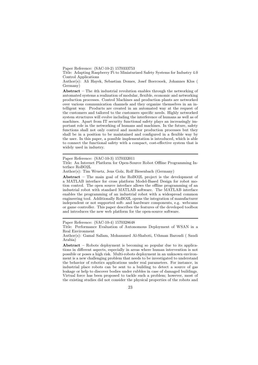Paper Reference: (SAC-10-2) 1570333753

Title: Adapting Raspberry Pi to Miniaturized Safety Systems for Industry 4.0 Control Applications

Author(s): Ali Hayek, Sebastian Domes, Josef Boercsoek, Johannes Klos ( Germany)

Abstract – The 4th industrial revolution enables through the networking of automated systems a realization of modular, flexible, economic and networking production processes. Control Machines and production plants are networked over various communication channels and they organize themselves in an intelligent way. Products are created in an automated way at the request of the customers and tailored to the customers specific needs. Highly networked system structures will evolve including the interference of humans as well as of machines. Apart from IT security functional safety plays an increasingly important role in the networking of humans and machines. In the future, safety functions shall not only control and monitor production processes but they shall be in a position to be maintained and configured in a flexible way by the user. In this paper, a possible implementation is introduced, which is able to connect the functional safety with a compact, cost-effective system that is widely used in industry.

Paper Reference: (SAC-10-3) 1570332011

Title: An Internet Platform for Open-Source Robot Offline Programming Interface RoBO2L

Author(s): Tim Wruetz, Jens Golz, Rolf Biesenbach (Germany)

Abstract – The main goal of the RoBO2L project is the development of a MATLAB interface for cross platform Model-Based Design for robot motion control. The open source interface allows the offline programming of an industrial robot with standard MATLAB software. The MATLAB interface enables the programming of an industrial robot with a widespread common engineering tool. Additionally RoBO2L opens the integration of manufacturer independent or not supported soft- and hardware components, e.g. webcams or game controller. This paper describes the features of the developed toolbox and introduces the new web platform for the open-source software.

Paper Reference: (SAC-10-4) 1570328648

Title: Performance Evaluation of Autonomous Deployment of WSAN in a Real Environment

Abstract – Robots deployment is becoming so popular due to its applications in different aspects, especially in areas where human intervention is not possible or poses a high risk. Multi-robots deployment in an unknown environment is a new challenging problem that needs to be investigated to understand the behavior of robotics applications under real parameters. For instance, in industrial place robots can be sent to a building to detect a source of gas leakage or help to discover bodies under rubbles in case of damaged buildings. Virtual force has been proposed to tackle such a problem; however, most of the existing studies did not consider the physical properties of the robots and

Author(s): Gamal Sallam, Mohammed Al-Shaboti, Uthman Baroudi ( Saudi Arabia)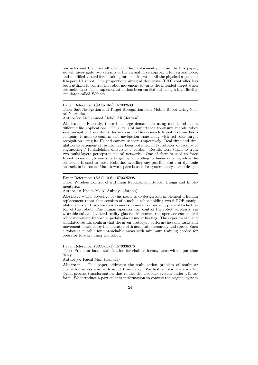obstacles and their overall effect on the deployment purpose. In this paper, we will investigate two variants of the virtual force approach, full virtual force, and modified virtual force, taking into consideration all the physical aspects of Khepera III robot. The proportional-integral derivative (PID) controller has been utilized to control the robot movement towards the intended target when obstacles exist. The implementation has been carried out using a high fidelity simulator called Webots

Paper Reference: (SAC-10-5) 1570326397 Title: Safe Navigation and Target Recognition for a Mobile Robot Using Neural Networks

Author(s): Mohammed Mehdi Ali (Jordan)

Abstract – Recently, there is a large demand on using mobile robots in different life applications. Thus, it is of importance to ensure mobile robot safe navigation towards its destination. In this research Robotino from Festo company is used to confirm safe navigation issue along with red color target recognition using its IR and camera sensors respectively. Real-time and simulation experiemental results have been obtained in labrotories of faculty of engineering / Philadelphia university / Jordan. Results were taken to train two multi-layers perceptron neural networks. One of them is used to force Robotino moving towards its target by controlling its linear velocity, while the other one is used to move Robotino avoiding any possible static or dynamic obstacle in its route. Matlab workspace is used for system analysis and design.

Paper Reference: (SAC-10-6) 1570325998

Title: Wireless Control of a Human Replacement Robot: Design and Implementation

Author(s): Kasim M. Al-Aubidy (Jordan)

Abstract – The objective of this paper is to design and implement a human replacement robot that consists of a mobile robot holding two 6-DOF manipulator arms and two wireless cameras mounted on moving plate attached on top of the robot. The human operator can control the robot wirelessly via wearable suit and virtual reality glasses. Moreover, the operator can control robot movement by special pedals placed under his legs. The experimental and simulated results confirm that the given prototype perform the same tasks and movement obtained by the operator with acceptable accuracy and speed. Such a robot is suitable for unreachable areas with minimum training needed for operator to start using the robot.

Abstract – This paper addresses the stabilization problem of nonlinear chained-form systems with input time delay. We first employ the so-called sigma-process transformation that render the feedback system under a linear form. We introduce a particular transformation to convert the original system



Paper Reference: (SAC-11-1) 1570336376

Title: Predictor-based stabilization for chained formsystems with input time delay

 $Author(s)$ : Faical Mnif (Tunisia)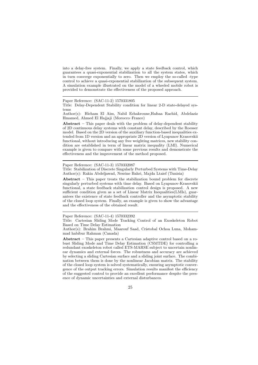into a delay-free system. Finally, we apply a state feedback control, which guarantees a quasi-exponential stabilization to all the system states, which in turn converge exponentially to zero. Then we employ the so-called -type control to achieve a quasi-exponential stabilization of the subsequent system. A simulation example illustrated on the model of a wheeled mobile robot is provided to demonstrate the effectiveness of the proposed approach.

Paper Reference: (SAC-11-2) 1570331805

Title: Delay-Dependent Stability condition for linear 2-D state-delayed systems

Author(s): Hicham El Aiss, Nabil Echakroune,Hafsaa Rachid, Abdelaziz Hmamed, Ahmed El Hajjaji (Morocco–France)

Abstract – This paper deals with the problem of delay-dependent stability of 2D continuous delay systems with constant delay, described by the Roesser model. Based on the 2D version of the auxiliary function-based inequalities extended from 1D version and an appropriate 2D version of Lyapunov Krasovskii functional, without introducing any free weighting matrices, new stability condition are established in term of linear matrix inequality (LMI). Numerical example is given to compare with some previous results and demonstrate the effectiveness and the improvement of the method proposed.

Paper Reference: (SAC-11-3) 1570332087

Title: Stabilization of Discrete Singularly Perturbed Systems with Time-Delay Author(s): Rakia Abdeljawad, Nesrine Bahri, Majda Ltaief (Tunisia)

Abstract – This paper treats the stabilization bound problem for discrete singularly perturbed systems with time delay. Based on Lyapunov-Krasovskii functional, a state feedback stabilization control design is proposed. A new sufficient condition given as a set of Linear Matrix Inequalities(LMIs), guarantees the existence of state feedback controller and the asymptotic stability of the closed loop system. Finally, an example is given to show the advantage and the effectiveness of the obtained result.

Paper Reference: (SAC-11-4) 1570332392

Abstract – This paper presents a Cartesian adaptive control based on a robust Sliding Mode and Time Delay Estimation (CSMTDE) for controlling a redundant exoskeleton robot called ETS-MARSE subject to uncertain nonlinear dynamics and external forces. The robustness and accuracy are achieved by selecting a sliding Cartesian surface and a sliding joint surface. The combination between them is done by the nonlinear Jacobian matrix. The stability of the closed loop system is solved systematically, ensuring asymptotic convergence of the output tracking errors. Simulation results manifest the efficiency of the suggested control to provide an excellent performance despite the presence of dynamic uncertainties and external disturbances.

Title: Cartesian Sliding Mode Tracking Control of an Exoskeleton Robot Based on Time Delay Estimation

Author(s): Brahim Brahmi, Maarouf Saad, Cristobal Ochoa Luna, Mohammad habibur Rahman (Canada)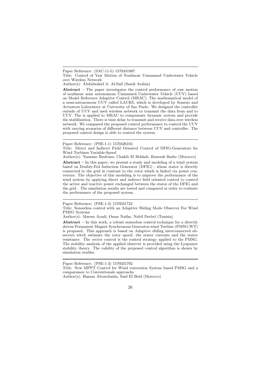Author(s): Abdulwahid A. Al-Saif (Saudi Arabia)

Abstract – The paper investigates the control performance of yaw motion of nonlinear semi autonomous Unmanned Underwater Vehicle (UUV) based on Model Reference Adaptive Control (MRAC). The mathematical model of a semi-autonomous  $UUV$  called LAURS, which is developed by Sensors and Actuators Laboratory at University of Sao Paolo. We designed the controller outside of UUV and used wireless network to transmit the data from and to UUV. The is applied to MRAC to compensate dynamic system and provide the stabilization. There is time delay to transmit and receive data over wireless network. We compared the proposed control performance to control the UUV with varying scenarios of different distance between UUV and controller. The proposed control design is able to control the system.

Paper Reference: (PSE-1-1) 1570326102

Title: Direct and Indirect Field Oriented Control of DFIG-Generators for Wind Turbines Variable-Speed

Author(s): Yasmine Ihedrane, Chakib El Bekkali, Bossoufi Badre (Morocco)

Abstract – In this paper, we present a study and modeling of a wind system based on Doubly-Fed Induction Generator (DFIG) , whose stator is directly connected to the grid in contrast to the rotor which is linked via power converters. The objective of this modeling is to improve the performance of the wind system by applying direct and indirect field oriented control to control the active and reactive power exchanged between the stator of the DFIG and the grid . The simulation results are tested and compared in order to evaluate the performance of the proposed system.

Paper Reference: (PSE-1-2) 1570331722

Title: Sensorless control with an Adaptive Sliding Mode Observer For Wind PMSG Systems

Author(s): Marwa Ayadi, Omar Naifar, Nabil Derbel (Tunisia)

Abstract  $-$  In this work, a robust sensorless control technique for a directly driven Permanent Magnet Synchronous Generator-wind Turbine (PMSG-WT) is proposed. This approach is based on Adaptive sliding interconnected observers witch estimate the rotor speed, the stator currents and the stator resistance. The vector control is the control strategy applied to the PMSG. The stability analysis of the applied observer is provided using the Lyapunov stability theory. The validity of the proposed control algorithm is shown by simulation studies.

Paper Reference: (PSE-1-3) 1570331792 Title: New MPPT Control for Wind conversion System based PMSG and a comparaison to Conventionals approachs

Author(s): Hassan Abouobaida, Said El Beid (Morocco)

Paper Reference: (SAC-11-5) 1570331907

Title: Control of Yaw Motion of Nonlinear Unmanned Underwater Vehicle over Wireless Network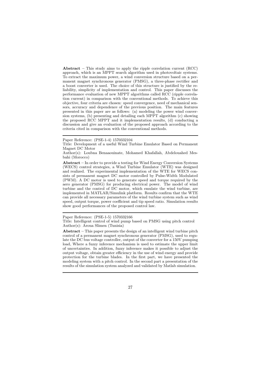Abstract – This study aims to apply the ripple correlation current  $(RCC)$ approach, which is an MPPT search algorithm used in photovoltaic systems. To extract the maximum power, a wind conversion structure based on a permanent magnet synchronous generator (PMSG), a three-phase rectifier and a boost converter is used. The choice of this structure is justified by the reliability, simplicity of implementation and control. This paper discusses the performance evaluation of new MPPT algorithms called RCC (ripple correlation current) in comparison with the conventional methods. To achieve this objective, four criteria are chosen: speed convergence, need of mechanical sensors, accuracy and dependence of the previous position. The main features presented in this paper are as follows: (a) modeling the power wind conversion systems, (b) presenting and detailing each MPPT algorithm (c) showing the proposed RCC MPPT and it implementation results, (d) conducting a discussion and give an evaluation of the proposed approach according to the criteria cited in comparison with the conventional methods.

Abstract – In order to provide a testing for Wind Energy Conversion Systems (WECS) control strategies, a Wind Turbine Emulator (WTE) was designed and realized. The experimental implementation of the WTE for WECS consists of permanent magnet DC motor controlled by Pulse-Width Modulated (PWM). A DC motor is used to generate speed and torque required by the aero generator (PMSG) for producing electrical power. The model of wind turbine and the control of DC motor, which emulate the wind turbine, are implemented in MATLAB/Simulink platform. Results confirm that the WTE can provide all necessary parameters of the wind turbine system such as wind speed, output torque, power coefficient and tip speed ratio. Simulation results show good performances of the proposed control law.

Paper Reference: (PSE-1-5) 1570332166

 $\bf Abstract-This$  paper presents the design of an intelligent wind turbine pitch control of a permanent magnet synchronous generator (PMSG), used to regulate the DC bus voltage controller, output of the converter for a 150V pumping load, Where a fuzzy inference mechanism is used to estimate the upper limit of uncertainties. In addition, fuzzy inference makes it possible to adjust the output voltage, obtain greater efficiency in the use of wind energy and provide protection for the turbine blades. In the first part, we have presented the modeling system with a pitch control. In the second part a presentation of the results of the simulation system analyzed and validated by Matlab simulation.

Paper Reference: (PSE-1-4) 1570332104

Title: Development of a useful Wind Turbine Emulator Based on Permanent Magnet DC Motor

Author(s): Loubna Benaaouinate, Mohamed Khafallah, Abdelouahed Mesbahi (Morocco)

Title: Intelligent control of wind pump based on PMSG using pitch control Author(s): Aroua Slimen (Tunisia)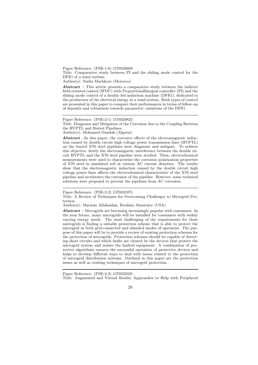Paper Reference: (PSE-1-6) 1570333609

Title: Comparative study between PI and the sliding mode control for the DFIG of a wind turbine

Author(s): Nadia Machkour (Morocco)

Abstract – This article presents a comparative study between the indirect field-oriented control (IFOC) with ProportionalIntegral controller (PI) and the sliding mode control of a doubly fed induction machine (DFIG), dedicated to the production of the electrical energy in a wind system. Both types of control are presented in this paper to compare their performances in terms of follow-up of deposits and robustness towards parametric variations of the DFIG.

Author(s): Mohamed Ouadah (Algeria)

Abstract –In this paper, the corrosive effects of the electromagnetic induction caused by double circuit high voltage power transmission lines (HVPTL) on the buried X70 steel pipelines were diagnoses and mitigate. To achieve this objective, firstly the electromagnetic interference between the double circuit HVPTL and the X70 steel pipeline were studied. Then, electrochemical measurements were used to characterize the corrosion polarization properties of X70 steel in simulated soil at various AC current densities. The results show that the electromagnetic induction caused by the double circuit high voltage power lines affects the electrochemical characteristic of the X70 steel pipeline and accelerates the corrosion of the pipeline. However, some technical solutions were proposed to prevent the pipelines from AC corrosion.

Paper Reference: (PSE-2-2) 1570331975

Author(s): Marwan Alluhaidan, Ibrahim Almutairy (USA)

Abstract – Microgrids are becoming increasingly popular with consumers. In the near future, many microgrids will be installed for consumers with widely varying energy needs. The most challenging of the requirements for these microgrids is finding a suitable protection scheme that is able to protect the microgrid in both grid-connected and islanded modes of operation. The purpose of this paper will be to provide a review of existing protection schemes for the protection of microgrids. Protection schemes should be capable of detecting short circuits and which faults are cleared by the devices that protect the microgrid system and isolate the faulted equipment. A combination of protective algorithms ensures the successful operation of protective devices and helps to develop different ways to deal with issues related to the protection of microgrid distribution systems. Outlined in this paper are the protection issues as well as existing techniques of microgrid protection.

Paper Reference: (PSE-2-3) 1570332335 Title: Augmented and Virtual Reality Approaches to Help with Peripheral

Paper Reference: (PSE-2-1) 1570329825

Title: Diagnoses and Mitigation of the Corrosion due to the Coupling Between the HVPTL and Buried Pipelines

Title: A Review of Techniques for Overcoming Challenges to Microgrid Protection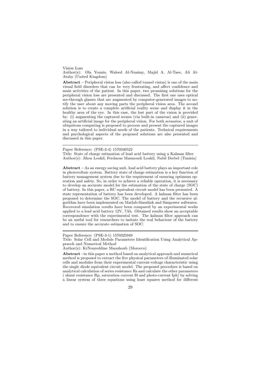Vision Loss Author(s): Ola Younis, Waleed Al-Nuaimy, Majid A. Al-Taee, Ali Al-Ataby (United Kingdom)

Abstract – Peripheral vision loss (also called tunnel vision) is one of the main visual field disorders that can be very frustrating, and affect confidence and main activities of the patient. In this paper, two promising solutions for the peripheral vision loss are presented and discussed. The first one uses optical see-through glasses that are augmented by computer-generated images to notify the user about any moving parts the peripheral vision area. The second solution is to create a complete artificial reality scene and display it in the healthy area of the eye. In this case, the lost part of the vision is provided by: (i) augmenting the captured scenes (via built-in cameras) and (ii) generating an artificial image for the peripheral vision. For both scenarios, a unit of ubiquitous computing is proposed to process and present the captured images in a way tailored to individual needs of the patients. Technical requirements and psychological aspects of the proposed solutions are also presented and discussed in this paper.

Paper Reference: (PSE-2-4) 1570340522 Title: State of charge estimation of lead acid battery using a Kalman filter Author(s): Jihen Loukil, Ferdaous Masmoudi Loukil, Nabil Derbel (Tunisia)

Abstract – As an energy saving unit, lead acid battery plays an important role in photovoltaic system. Battery state of charge estimation is a key function of battery management system due to the requirement of ensuring optimum operation and safety. So, in order to achieve a reliable operation, it is necessary to develop an accurate model for the estimation of the state of charge (SOC) of battery. In this paper, a RC equivalent circuit model has been presented. A state representation of battery has been developed. A kalman filter has been proposed to determine the SOC. The model of battery and the recursive algorithm have been implemented on Matlab-Simulink and Simpower softwares. Recovered simulation results have been compared by an experimental works applied to a lead acid battery 12V, 7Ah. Obtained results show an acceptable correspondence with the experimental test. The kalman filter approach can be an useful tool for researchers to imitate the real behaviour of the battery and to ensure the accurate estimation of SOC.

Paper Reference: (PSE-3-1) 1570325949 Title: Solar Cell and Module Parameters Identification Using Analytical Appraoch and Numerical Method

Author(s): KrNoureddine Maouhoub (Morocco)

Abstract –in this paper a method based on analytical approach and numerical method is proposed to extract the five physical parameters of illuminated solar cells and modules from their experimental current-voltage characteristic using the single diode equivalent circuit model. The proposed procedure is based on analytical calculation of series resistance Rs and calculate the other parameters ( shunt resistance Rp, saturation current I0 and photo-current Iph) by solving a linear system of three equations using least squares method for different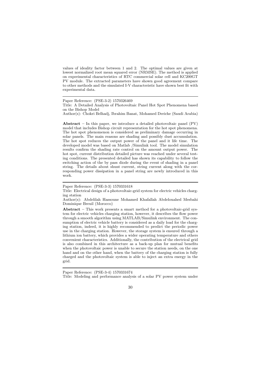values of ideality factor between 1 and 2. The optimal values are given at lowest normalized root mean squared error (NRMSE). The method is applied on experimental characteristics of RTC commercial solar cell and KC200GT PV module. The extracted parameters have shown good agreement compare to other methods and the simulated I-V characteristic have shown best fit with experimental data.

Paper Reference: (PSE-3-2) 1570326469 Title: A Detailed Analysis of Photovoltaic Panel Hot Spot Phenomena based on the Bishop Model

Author(s): Chokri Belhadj, Ibrahim Banat, Mohamed Deriche (Saudi Arabia)

Abstract – In this paper, we introduce a detailed photovoltaic panel  $(PV)$ model that includes Bishop circuit representation for the hot spot phenomena. The hot spot phenomenon is considered as preliminary damage occurring in solar panels. The main reasons are shading and possibly dust accumulation. The hot spot reduces the output power of the panel and it life time. The developed model was based on Matlab /Simulink tool. The model simulation results confirm the shading rate control on the amount output power. The hot spot, current distribution detailed picture was reached under several testing conditions. The presented detailed has shown its capability to follow the switching action of the by pass diode during the event of shading in a panel string. The details about shunt current, string current along with the corresponding power dissipation in a panel string are newly introduced in this work.

Abstract – This work presents a smart method for a photovoltaic-grid system for electric vehicles charging station, however, it describes the flow power through a smooth algorithm using MATLAB/Simulink environment. The consumption of electric vehicle battery is considered as a daily load for the charging station, indeed, it is highly recommended to predict the periodic power use in the charging station. However, the storage system is ensured through a lithium ion battery, which provides a wider operating temperature and others convenient characteristics. Additionally, the contribution of the electrical grid is also combined in this architecture as a back-up plan for mutual benefits when the photovoltaic power is unable to secure the station needs, on the one hand and on the other hand, when the battery of the charging station is fully charged and the photovoltaic system is able to inject an extra energy in the grid.

Paper Reference: (PSE-3-4) 1570331674 Title: Modeling and performance analysis of a solar PV power system under

Paper Reference: (PSE-3-3) 1570331618

Title: Electrical design of a photovoltaic-grid system for electric vehicles charging station

Author(s): Abdelilah Hassoune Mohamed Khafallah Abdelouahed Mesbahi Dominique Breuil (Morocco)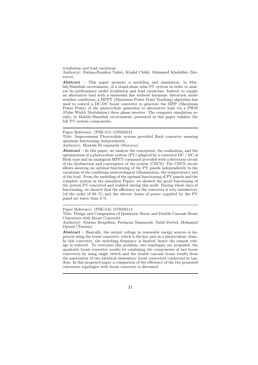irradiation and load variations

Author(s): Fatima-Ezzahra Tahiri, Khalid Chikh, Mohamed Khafallah (Morocco)

Abstract – This paper presents a modeling and simulation, in Matlab/Simulink environment, of a stand-alone solar PV system in order to analyse its performance under irradiation and load variations. Indeed, to supply an alternative load with a sinusoidal line without harmonic distortion under weather conditions, a MPPT (Maximum Power Point Tracking) algorithm has used to control a DC-DC boost converter to generate the MPP (Maximum Power Point) of the photovoltaic generator to alternative load via a PWM (Pulse Width Modulation) three phase inverter. The computer simulation results, in Matlab/Simulink environment, presented in this paper validate the full PV system components.

Author(s): Mostafa El ouariachi (Morocco)

Abstract – In this paper, we analyze the conception, the realization, and the optimization of a photovoltaic system (PV) adapted by a converter DC / DC of Buck type and an analogical MPPT command provided with a detection circuit of the dysfunction and convergence of the system (CDCS). The CDCS circuit allows assuring an optimal functioning of the PV panels independently in the variations of the conditions meteorological (illumination, the temperature) and of the load. From the modeling of the optimal functioning of PV panels and the complete system in the simulator Pspice, we showed the good functioning of the system PV conceived and realized during this work. During whole days of functioning, we showed that the efficiency on the converter is very satisfactory (of the order of 80 %) and the electric losses of power supplied by the PV panel are lower than 8 %.

Paper Reference: (PSE-3-6) 1570338114

Paper Reference: (PSE-3-5) 1570332121

Title: Improvement Photovoltaic system provided Buck converter assuring optimum functioning independently

Title: Design and Comparison of Quadratic Boost and Double Cascade Boost Converters with Boost Converter

Author(s): Nesrine Boujelben, Ferdaous Masmoudi, Nabil Derbel, Mohamed Djemel (Tunisia)

Abstract – Basically, the output voltage in renewable energy sources is improved using the boost converter, which is the key part in a photovoltaic chain. In this converter, the switching frequency is limited; hence the output voltage is reduced. To overcome this problem, two topologies are proposed; the quadratic boost converter results by combining the components of two boost converters by using single switch and the double cascade boost results from the association of two identical elementary boost converters connected in tandem. In this proposed paper a comparison of the efficiency of the two proposed converters topologies with boost converter is discussed.

<sup>31</sup>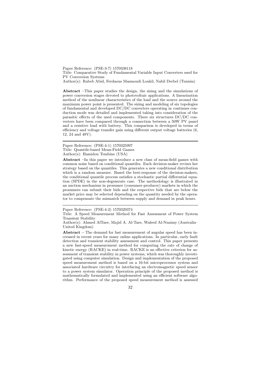Paper Reference: (PSE-3-7) 1570338118 Title: Comparative Study of Fundamental Variable Input Converters used for PV Conversion Systems

Author(s): Rabeb Abid, Ferdaous Masmoudi Loukil, Nabil Derbel (Tunisia)

Abstract –This paper studies the design, the sizing and the simulations of power conversion stages devoted to photovoltaic applications. A linearization method of the nonlinear characteristics of the load and the source around the maximum power point is presented. The sizing and modeling of six topologies of fundamental and developed DC/DC converters operating in continues conduction mode was detailed and implemented taking into consideration of the parasitic effects of the used components. There six structures DC/DC converters have been compared through a connection between a 50W PV panel and a resistive load with battery. This comparison is developed in terms of efficiency and voltage transfer gain using different output voltage batteries (6, 12, 24 and 48V).

Paper Reference: (PSE-4-1) 1570325997 Title: Quantile-based Mean-Field Games Author(s): Hamidou Tembine (USA)

Abstract –In this paper we introduce a new class of mean-field games with common noise based on conditional quantiles. Each decision-maker revises her strategy based on the quantiles. This generates a new conditional distribution which is a random measure. Based the best-response of the decision-makers, the conditional quantile process satisfies a stochastic partial differential equation (SPDE) in the non-degenerate case. The methodology is illustrated in an auction mechanism in prosumer (consumer-producer) markets in which the prosumers can submit their bids and the respective bids that are below the market price may be selected depending on the quantity needed by the operator to compensate the mismatch between supply and demand in peak hours.

Paper Reference: (PSE-4-2) 1570329374

Abstract – The demand for fast measurement of angular speed has been increased in recent years for many online applications. In particular, early fault detection and transient stability assessment and control. This paper presents a new fast-speed measurement method for computing the rate of change of kinetic energy (RACKE) in real-time. RACKE is an effective criterion for assessment of transient stability in power systems, which was thoroughly investigated using computer simulation. Design and implementation of the proposed speed measurement method is based on a 16-bit microprocessor system and associated hardware circuitry for interfacing an electromagnetic speed sensor to a power system simulator. Operation principle of the proposed method is mathematically formulated and implemented using an efficient software algorithm. Performance of the proposed speed measurement method is assessed

Title: A Speed Measurement Method for Fast Assessment of Power System Transient Stability

Author(s): Ahmed AlTaee, Majid A. Al-Taee, Waleed Al-Nuaimy (Australia– United Kingdom)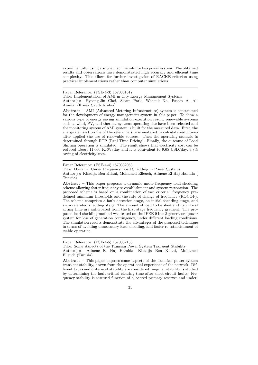experimentally using a single machine infinite bus power system. The obtained results and observations have demonstrated high accuracy and efficient time complexity. This allows for further investigation of RACKE criterion using practical implementations rather than computer simulations.

Paper Reference: (PSE-4-3) 1570331617

Title: Implementation of AMI in City Energy Management Systems Author(s): Hyeong-Jin Choi, Sisam Park, Wonsuk Ko, Essam A. Al-Ammar (Korea–Saudi Arabia)

Abstract – AMI (Advanced Metering Infrastructure) system is constructed for the development of energy management system in this paper. To show a various type of energy saving simulation execution result, renewable systems such as wind, PV, and thermal systems operating site have been selected and the monitoring system of AMI system is built for the measured data. First, the energy demand profile of the reference site is analyzed to calculate reductions after applied the use of renewable sources. Then the operating scenario is determined through RTP (Real Time Pricing). Finally, the outcome of Load Shifting operation is simulated. The result shows that electricity cost can be reduced about 11,600 KRW/day and it is equivalent to 9.65 USD/day,  $3.8\%$ saving of electricity cost.

Paper Reference: (PSE-4-4) 1570332063 Title: Dynamic Under Frequency Load Shedding in Power Systems Author(s): Khadija Ben Kilani, Mohamed Elleuch, Adnene El Haj Hamida ( Tunisia)

Abstract – This paper proposes a dynamic under-frequency load shedding scheme allowing faster frequency re-establishment and system restoration. The proposed scheme is based on a combination of two criteria: frequency predefined minimum thresholds and the rate of change of frequency (ROCOF). The scheme comprises a fault detection stage, an initial shedding stage, and an accelerated shedding stage. The amount of load to be shed and its critical acting time are anticipated from the first stage frequency gradient. The proposed load shedding method was tested on the IEEE 9 bus 3 generators power system for loss of generation contingency, under different loading conditions. The simulation results demonstrate the advantages of the proposed technique in terms of avoiding unnecessary load shedding, and faster re-establishment of stable operation.

Paper Reference: (PSE-4-5) 1570332155

Title: Some Aspects of the Tunisian Power System Transient Stability Author(s): Adnene El Haj Hamida, Khadija Ben Kilani, Mohamed Elleuch (Tunisia)

Abstract – This paper exposes some aspects of the Tunisian power system transient stability, drawn from the operational experience of the network. Different types and criteria of stability are considered: angular stability is studied by determining the fault critical clearing time after short circuit faults. Frequency stability is assessed function of allocated primary reserves and under-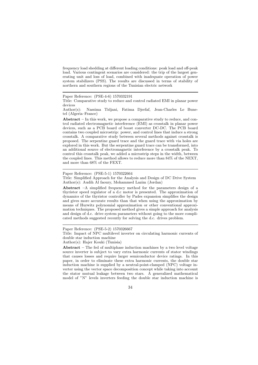frequency load shedding at different loading conditions: peak load and off-peak load. Various contingent scenarios are considered: the trip of the largest generating unit and loss of load, combined with inadequate operation of power system stabilizers (PSS). The results are discussed in terms of stability of northern and southern regions of the Tunisian electric network

Paper Reference: (PSE-4-6) 1570332191

Title: Comparative study to reduce and control radiated EMI in planar power devices

Author(s): Nassima Tidjani, Fatima Djerfaf, Jean-Charles Le Bunetel (Algeria–France)

Abstract  $-$  In this work, we propose a comparative study to reduce, and control radiated electromagnetic interference (EMI) as crosstalk in planar power devices, such as a PCB board of boost converter DC-DC. The PCB board contains two coupled microstrip: power, and control lines that induce a strong crosstalk. A comparative study between several methods against crosstalk is proposed. The serpentine guard trace and the guard trace with via holes are explored in this work. But the serpentine guard trace can be transformed, into an additional source of electromagnetic interference by a crosstalk peak. To control this crosstalk peak, we added a microstrip steps in the width, between the coupled lines. This method allows to reduce more than 84% of the NEXT, and more than 68% of the FEXT.

Paper Reference: (PSE-5-1) 1570322664

Abstract –A simplified frequency method for the parameters design of a thyristor speed regulator of a d.c motor is presented. The approximation of dynamics of the thyristor controller by Pades expansion simplifies the design and gives more accurate results than that when using the approximation by means of Hurwitz polynomial approximation or other conventional approximation techniques. The proposed method gives a simple approach for analysis and design of d.c. drive system parameters without going to the more complicated methods suggested recently for solving the d.c. drives problem.

Paper Reference: (PSE-5-2) 1570326667

Title: Impact of NPC multilevel inverter on circulating harmonic currents of double star induction machine

Author(s): Hajer Kouki (Tunisia)

Abstract – The fed of multiphase induction machines by a two level voltage source inverter is subject to vary extra harmonic currents of stator windings that causes losses and require larger semiconductor device ratings. In this paper, in order to eliminate these extra harmonic currents, the double star induction machine is supplied by a neutral-point-clamped (NPC) voltage inverter using the vector space decomposition concept while taking into account the stator mutual leakage between two stars. A generalized mathematical model of "N" levels inverters feeding the double star induction machine is

Title: Simplified Approach for the Analysis and Design of DC Drive System Author(s): Audih Al faoury, Mohammed Lazim (Jordan)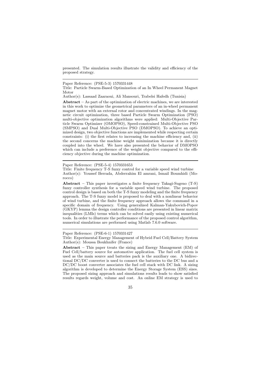presented. The simulation results illustrate the validity and efficiency of the proposed strategy.

Paper Reference: (PSE-5-3) 1570331448

Title: Particle Swarm-Based Optimization of an In Wheel Permanent Magnet Motor

Author(s): Lassaad Zaaraoui, Ali Mansouri, Trabelsi Hafedh (Tunisia)

Abstract – As part of the optimization of electric machines, we are interested in this work to optimize the geometrical parameters of an in-wheel permanent magnet motor with an external rotor and concentrated windings. In the magnetic circuit optimization, three based Particle Swarm Optimization (PSO) multi-objective optimization algorithms were applied: Multi-Objective Particle Swarm Optimizer (OMOPSO), Speed-constrained Multi-Objective PSO (SMPSO) and Dual Multi-Objective PSO (DMOPSO). To achieve an optimized design, two objective functions are implemented while respecting certain constraints: (i) the first relates to increasing the machine efficiency and, (ii) the second concerns the machine weight minimization because it is directly coupled into the wheel. We have also presented the behavior of DMOPSO which can include a preference of the weight objective compared to the efficiency objective during the machine optimization.

Paper Reference: (PSE-5-4) 1570331653 Title: Finite frequency T-S fuzzy control for a variable speed wind turbine Author(s): Youssef Berrada, Abderrahim El amrani, Ismail Boumhidi (Morocco)

Abstract – This paper investigates a finite frequency Takagi-Sugeno (T-S) fuzzy controller synthesis for a variable speed wind turbine. The proposed control design is based on both the T-S fuzzy modeling and the finite frequency approach. The T-S fuzzy model is proposed to deal with a nonlinear behavior of wind turbine, and the finite frequency approach allows the command in a specific domain of frequency. Using generalized Kalman-Yakubovich-Popov (GKYP) lemma the design controller conditions are presented in linear matrix inequalities (LMIs) terms which can be solved easily using existing numerical tools. In order to illustrate the performance of the proposed control algorithm, numerical simulations are performed using Matlab 7.6.0 software.

Paper Reference: (PSE-6-1) 1570331427 Title: Experimental Energy Management of Hybrid Fuel Cell/Battery System Author(s): Moussa Boukhnifer (France)

Abstract – This paper treats the sizing and Energy Management (EM) of Fuel Cell/battery source for automotive application. The fuel cell system is used as the main source and batteries pack is the auxiliary one. A bidirectional DC/DC converter is used to connect the batteries to the DC bus and a DC/DC boost converter associates the fuel cell stack with DC link. A sizing algorithm is developed to determine the Energy Storage System (ESS) sizes. The proposed sizing approach and simulations results leads to show satisfied results regards weight, volume and cost. An online EM strategy is used to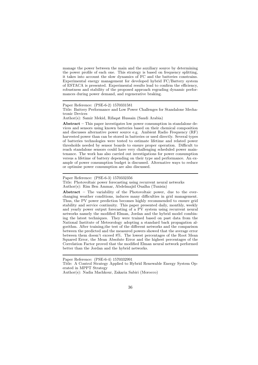manage the power between the main and the auxiliary source by determining the power profile of each one. This strategy is based on frequency splitting, it takes into account the slow dynamics of FC and the batteries constrains. Experimental energy management for developed hybrid FC/Battery system of ESTACA is presented. Experimental results lead to confirm the efficiency, robustness and stability of the proposed approach regrading dynamic performances during power demand, and regenerative braking.

Paper Reference: (PSE-6-2) 1570331581

Title: Battery Performance and Low Power Challenges for Standalone Mechatronic Devices

Author(s): Samir Mekid, Rifaqat Hussain (Saudi Arabia)

Abstract – This paper investigates low power consumption in standalone devices and sensors using known batteries based on their chemical composition and discusses alternative power source e.g. Ambient Radio Frequency (RF) harvested power than can be stored in batteries or used directly. Several types of batteries technologies were tested to estimate lifetime and related power thresholds needed by sensor boards to ensure proper operation. Difficult to reach standalone sensors could have very challenging scheduled power maintenance. The work has also carried out investigations for power consumption versus a lifetime of battery depending on their type and performance. An example of power consumption budget is discussed. Alternative ways to reduce or optimise power consumption are also discussed.

Paper Reference: (PSE-6-3) 1570332356

Title: Photovoltaic power forecasting using recurrent neural networks Author(s): Rim Ben Ammar, Abdelmajid Oualha (Tunisia)

Abstract – The variability of the Photovoltaic power, due to the everchanging weather conditions, induces many difficulties in grid management. Thus, the PV power prediction becomes highly recommended to ensure grid stability and service continuity. This paper presented daily, monthly, weekly and yearly power output forecasting of a PV system using recurrent neural networks namely the modified Elman, Jordan and the hybrid model combining the latest techniques. They were trained based on past data from the National Institute of Meteorology adopting a standard back propagation algorithm. After training,the test of the different networks and the comparison between the predicted and the measured powers showed that the average error between them doesn't exceed 8%. The lowest percentages of the Root Mean Squared Error, the Mean Absolute Error and the highest percentages of the Correlation Factor proved that the modified Elman neural network performed better than the Jordan and the hybrid networks.

Paper Reference: (PSE-6-4) 1570332991

Title: A Control Strategy Applied to Hybrid Renewable Energy System Operated in MPPT Strategy

Author(s): Nadia Machkour, Zakaria Sabiri (Morocco)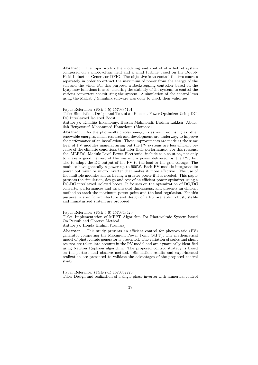Abstract –The topic work's the modeling and control of a hybrid system composed on a photovoltaic field and a wind turbine based on the Doubly Field Induction Generator DFIG. The objective is to control the two sources separately in order to extract the maximum of power from the energy of the sun and the wind. For this purpose, a Backstepping controller based on the Lyapunov functions is used, ensuring the stability of the system, to control the various converters constituting the system. A simulation of the control laws using the Matlab / Simulink software was done to check their validities.

Paper Reference: (PSE-6-5) 1570335191

Title: Simulation, Design and Test of an Efficient Power Optimizer Using DC-DC Interleaved Isolated Boost

Author(s): Khadija Elkamouny, Hassan Mahmoudi, Brahim Lakksir, Abdelilah Benyoussef, Mohammed Hamedoun (Morocco)

Abstract – As the photovoltaic solar energy is as well promising as other renewable energies, much research and development are underway, to improve the performance of an installation. These improvements are made at the same level of PV modules manufacturing but the PV systems are less efficient because of the climatic conditions that alter their performance. For this reasons, the 'MLPEs' (Module-Level Power Electronic) include as a solution, not only to make a good harvest of the maximum power delivered by the PV, but also to adapt the DC output of the PV to the load or the grid voltage. The modules have generally a power up to 500W. Each PV module integrates its power optimizer or micro inverter that makes it more effective. The use of the multiple modules allows having a greater power if it is needed. This paper presents the simulation, design and test of an efficient power optimizer using a DC-DC interleaved isolated boost. It focuses on the optimization of DC/DC converter performances and its physical dimensions, and presents an efficient method to track the maximum power point and the load regulation. For this purpose, a specific architecture and design of a high-reliable, robust, stable and miniaturized system are proposed.

Paper Reference: (PSE-6-6) 1570343420 Title: Implementation of MPPT Algorithm For Photovoltaic System based On Pertub and Observe Method Author(s): Houda Brahmi (Tunisia)

Abstract – This study presents an efficient control for photovoltaic (PV) generator computing the Maximum Power Point (MPP). The mathematical model of photovoltaic generator is presented. The variation of series and shunt resistor are taken into account in the PV model and are dynamically identified using Newton Raphson algorithm. The proposed control strategy is based on the perturb and observe method. Simulation results and experimental realization are presented to validate the advantages of the proposed control study.

Paper Reference: (PSE-7-1) 1570332225 Title: Design and realization of a single-phase inverter with numerical control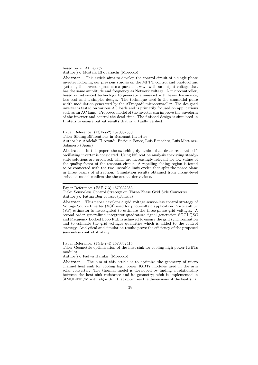based on an Atmega32 Author(s): Mostafa El ouariachi (Morocco)

Abstract – This article aims to develop the control circuit of a single-phase inverter following our previous studies on the MPPT control and photovoltaic systems, this inverter produces a pure sine wave with an output voltage that has the same amplitude and frequency as Network voltage. A microcontroller, based on advanced technology to generate a sinusoid with fewer harmonics, less cost and a simpler design. The technique used is the sinusoidal pulse width modulation generated by the ATmega32 microcontroller. The designed inverter is tested on various AC loads and is primarily focused on applications such as an AC lamp. Proposed model of the inverter can improve the waveform of the inverter and control the dead time. The finished design is simulated in Proteus to ensure output results that is virtually verified.

Paper Reference: (PSE-7-2) 1570332380 Title: Sliding Bifurcations in Resonant Inverters Author(s): Abdelali El Aroudi, Enrique Ponce, Luis Benadero, Luis Martinez-Salamero (Spain)

Abstract  $-$  In this paper, the switching dynamics of an dc-ac resonant selfoscillating inverter is considered. Using bifurcation analysis coexisting steadystate solutions are predicted, which are increasingly relevant for low values of the quality factor of the resonant circuit. A repelling sliding region is found to be connected with the two unstable limit cycles that split the phase plane in three basins of attraction. Simulation results obtained from circuit-level switched model confirm the theoretical derivations.

Paper Reference: (PSE-7-3) 1570332383 Title: Sensorless Control Strategy on Three-Phase Grid Side Converter Author(s): Fatma Ben youssef (Tunisia)

Abstract – This paper develops a grid voltage sensor-less control strategy of Voltage Source Inverter (VSI) used for photovoltaic application. Virtual-Flux (VF) estimator is investigated to estimate the three-phase grid voltages. A second order generalized integrator-quadrature signal generation SOGI-QSG and Frequency Locked Loop FLL is achieved to ensure the grid synchronisation and to estimate the grid voltages quantities which is added to the control strategy. Analytical and simulation results prove the efficiency of the proposed sensor-less control strategy.

Paper Reference: (PSE-7-4) 1570332415 Title: Geometric optimization of the heat sink for cooling high power IGBTs modules

Author(s): Fadwa Haraka (Morocco)

Abstract – The aim of this article is to optimize the geometry of micro channel heat sink for cooling high power IGBTs modules used in the arm solar converter. The thermal model is developed by finding a relationship between the heat sink resistance and its geometry; wish is implemented in SIMULINK/M with algorithm that optimizes the dimensions of the heat sink.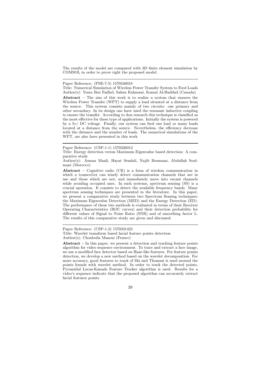The results of the model are compared with 3D finite element simulation by COMSOL in order to prove right the proposed model.

## Paper Reference: (PSE-7-5) 1570340018

Title: Numerical Simulation of Wireless Power Transfer System to Feed Loads Author(s): Yosra Ben Fadhel, Salem Rahmani, Kamal Al-Haddad (Canada)

Abstract – The aim of this work is to realize a system that ensures the Wireless Power Transfer (WPT) to supply a load situated at a distance from the source. This system consists mainly of two circuits: one primary and other secondary. In its design one have used the resonant inductive coupling to ensure the transfer. According to don research this technique is classified as the most effective for these type of applications. Initially the system is powered by a 5v/ DC voltage. Finally, our system can feed one load or many loads located at a distance from the source. Nevertheless, the efficiency decrease with the distance and the number of loads. The numerical simulations of the WPT, are also have presented in this work

Paper Reference: (CSP-1-1) 1570326012

Title: Energy detection versus Maximum Eigenvalue based detection: A comparative study

Author(s): Asmaa Maali, Hayat Semlali, Najib Boumaaz, Abdallah Soulmani (Morocco)

Abstract – Cognitive radio  $(CR)$  is a form of wireless communication in which a transceiver can wisely detect communication channels that are in use and those which are not, and immediately move into vacant channels while avoiding occupied ones. In such systems, spectrum sensing  $(SS)$  is a crucial operation. It consists to detect the available frequency bands. Many spectrum sensing techniques are presented in the literature. In this paper, we present a comparative study between two Spectrum Sensing techniques: the Maximum Eigenvalue Detection (MED) and the Energy Detection (ED). The performance of these two methods is evaluated in terms of their Receiver Operating Characteristics (ROC curves) and their detection probability for different values of Signal to Noise Ratio (SNR) and of smoothing factor L. The results of this comparative study are given and discussed.

Paper Reference: (CSP-1-2) 1570331425 Title: Wavelet transform based facial feature points detection Author(s): Choubeila Maaoui (France)

Abstract  $-$  In this paper, we present a detection and tracking feature points algorithm for video sequence environment. To trace and extract a face image, we use a modified face detector based on Haar-like features. For feature points detection, we develop a new method based on the wavelet decomposition. For more accuracy, good features to track of Shi and Thomasi is used around the points founds with wavelet method. In order to track the detected points, Pyramidal Lucas-Kanade Feature Tracker algorithm is used. Results for a video's sequence indicate that the proposed algorithm can accurately extract facial features points.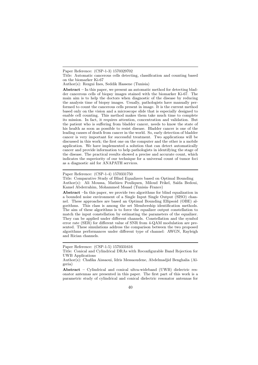Author(s): Rezgui Ines, Seddik Hassene (Tunisia)

Abstract – In this paper, we present an automatic method for detecting bladder cancerous cells of biopsy images stained with the biomarker Ki-67. The main aim is to help the doctors when diagnostic of the disease by reducing the analysis time of biopsy images. Usually, pathologists have manually performed to count the cancerous cells present in image. It is the current method based only on the vision and a microscope slide that is especially designed to enable cell counting. This method makes them take much time to complete its mission. In fact, it requires attention, concentration and validation. But the patient who is suffering from bladder cancer, needs to know the state of his health as soon as possible to resist disease. Bladder cancer is one of the leading causes of death from cancer in the world. So, early detection of bladder cancer is very important for successful treatment. Two applications will be discussed in this work; the first one on the computer and the other is a mobile application. We have implemented a solution that can detect automatically cancer and provide information to help pathologists in identifying the stage of the disease. The practical results showed a precise and accurate count, which indicates the superiority of our technique for a universal count of tumor foci as a diagnostic aid for ANAPATH services.

Abstract –In this paper, we provide two algorithms for blind equalization in a bounded noise environment of a Single Input Single Output (SISO) channel. These approaches are based an Optimal Bounding Ellipsoid (OBE) algorithms. This class is among the set Membership identification methods. The aim of these algorithms is to force the equalizer output constellation to match the input constellation by estimating the parameters of the equalizer. They can be applied under different channels. Constellation and the symbol error rate (SER) for different value of SNR from 4-QAM modulation are presented. These simulations address the comparison between the two proposed algorithms performances under different type of channel: AWGN, Rayleigh and Rician channels.

Abstract – Cylindrical and conical ultra-wideband (UWB) dielectric resonator antennas are presented in this paper. The first part of this work is a parametric study of cylindrical and conical dielectric resonator antennas for

Paper Reference: (CSP-1-3) 1570329702

Title: Automatic cancerous cells detecting, classification and counting based on the biomarker Ki-67

Paper Reference: (CSP-1-4) 1570331750

Title: Comparative Study of Blind Equalizers based on Optimal Bounding Author(s): Ali Moussa, Mathieu Pouliquen, Miloud Frikel, Saïda Bedoui, Kamel Abderrahim, Mohammed Msaad (Tunisia–France)

Paper Reference: (CSP-1-5) 1570331616

Title: Conical and Cylindrical DRAs with Reconfigurable Band Rejection for UWB Applications

Author(s): Chafika Aissaoui, Idris Messaoudene, Abdelmadjid Benghalia (Algeria)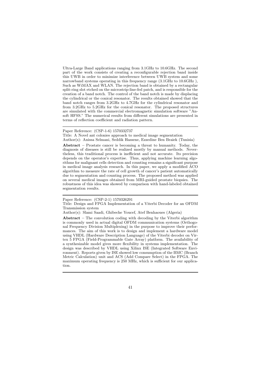Ultra-Large Band applications ranging from 3.1GHz to 10.6GHz. The second part of the work consists of creating a reconfigurable rejection band inside this UWB in order to minimize interference between UWB system and some narrowband systems operating in this frequency range (3.1GHz to 10.6GHz ), Such as WiMAX and WLAN. The rejection band is obtained by a rectangular split-ring slot etched on the microstrip-line-fed patch, and is responsible for the creation of a band notch. The control of the band notch is made by displacing the cylindrical or the conical resonator. The results obtained showed that the band notch ranges from 3.2GHz to 4.7GHz for the cylindrical resonator and from 3.2GHz to 5.2GHz for the conical resonator. The proposed structures are simulated with the commercial electromagnetic simulation software "Ansoft HFSS." The numerical results from different simulations are presented in terms of reflection coefficient and radiation pattern.

Paper Reference: (CSP-1-6) 1570332737 Title: A Novel ant colonies approach to medical image segmentation Author(s): Anissa Selmani, Seddik Hassene, Ezzedine Ben Braiek (Tunisia)

Abstract – Prostate cancer is becoming a threat to humanity. Today, the diagnosis of diseases is still be realized mostly by manual methods. Nevertheless, this traditional process is inefficient and not accurate. Its precision depends on the operator's expertise. Thus, applying machine learning algorithms for malignant cells detection and counting remains a significant purpose in medical image analysis research. In this paper, we apply a modified ACO algorithm to measure the rate of cell growth of cancer's patient automatically due to segmentation and counting process. The proposed method was applied on several medical images obtained from MRI-guided prostate biopsies. The robustness of this idea was showed by comparison with hand-labeled obtained segmentation results.

Paper Reference: (CSP-2-1) 1570326291

Title: Design and FPGA Implementation of a Viterbi Decoder for an OFDM Transmission system

Author(s): Slami Saadi, Ghibeche Youcef, Atef Benhaoues (Algeria)

Abstract – The convolution coding with decoding by the Viterbi algorithm is commonly used in actual digital OFDM communication systems (Orthogonal Frequency Division Multiplexing) in the purpose to improve their performances. The aim of this work is to design and implement a hardware model using VHDL (Hardware Description Language) of the Viterbi decoder on Virtex 5 FPGA (Field-Programmable Gate Array) platform. The availability of a synthesizable model gives more flexibility in systems implementation. The design was described by VHDL using Xilinx ISE (Integrated Software Environment). Reports given by ISE showed low consumption of the BMC (Branch Metric Calculation) unit and ACS (Add Compare Select) in the FPGA. The maximum operating frequency is 250 MHz, which is sufficient for our application.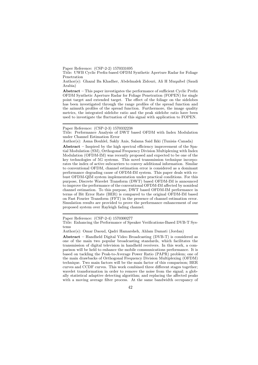Paper Reference: (CSP-2-2) 1570331695

Title: UWB Cyclic Prefix-based OFDM Synthetic Aperture Radar for Foliage Penetration

Author(s): Ghazal Ba Khadher, Abdelmalek Zidouri, Ali H Muqaibel (Saudi Arabia)

Abstract – This paper investigates the performance of sufficient Cyclic Prefix OFDM Synthetic Aperture Radar for Foliage Penetration (FOPEN) for single point target and extended target. The effect of the foliage on the sidelobes has been investigated through the range profiles of the spread function and the azimuth profiles of the spread function. Furthermore, the image quality metrics, the integrated sidelobe ratio and the peak sidelobe ratio have been used to investigate the fluctuation of this signal with application to FOPEN.

Abstract – Inspired by the high spectral efficiency improvement of the Spatial Modulation (SM), Orthogonal Frequency Division Multiplexing with Index Modulation (OFDM-IM) was recently proposed and expected to be one of the key technologies of 5G systems. This novel transmission technique incorporates the index of active subcarriers to convey additional information. Similar to conventional OFDM, channel estimation error is considered as a dominant performance degrading cause of OFDM-IM system. This paper deals with robust OFDM-QIM system implementation under practical conditions. For this purpose, Discrete Wavelet Transform (DWT) based OFDM-IM is announced to improve the performance of the conventional OFDM-IM affected by nonideal channel estimation. To this purpose, DWT based OFDM-IM performance in terms of Bit Error Rate (BER) is compared to the original OFDM-IM based on Fast Fourier Transform (FFT) in the presence of channel estimation error. Simulation results are provided to prove the performance enhancement of our proposed system over Rayleigh fading channel.

Paper Reference: (CSP-2-4) 1570300277

Paper Reference: (CSP-2-3) 1570332238

Title: Performance Analysis of DWT based OFDM with Index Modulation under Channel Estimation Error

Author(s): Asma Bouhlel, Sakly Anis, Salama Said Ikki (Tunisia–Canada)

Title: Enhancing the Performance of Speaker Verifications-Based DVB-T Systems

Author(s): Omar Daoud, Qadri Hamarsheh, Ahlam Damati (Jordan)

Abstract – Handheld Digital Video Broadcasting (DVB-T) is considered as one of the main two popular broadcasting standards, which facilitates the transmission of digital television in handheld receivers. In this work, a comparison will be held to enhance the mobile communications performance. It is based on tackling the Peak-to-Average Power Ratio (PAPR) problem; one of the main drawbacks of Orthogonal Frequency Division Multiplexing (OFDM) technique. Two main factors will be the main factor of this comparison; BER curves and CCDF curves. This work combined three different stages together; wavelet transformation in order to remove the noise from the signal; a globally statistical adaptive detecting algorithm; and replacing the affected peaks with a moving average filter process. At the same bandwidth occupancy of

<sup>42</sup>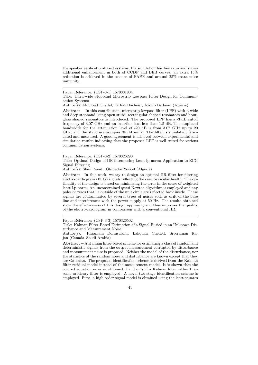the speaker verification-based systems, the simulation has been run and shows additional enhancement in both of CCDF and BER curves; an extra 15% reduction is achieved in the essence of PAPR and around 25% extra noise immunity.

Paper Reference: (CSP-3-1) 1570331804

Title: Ultra-wide Stopband Microstrip Lowpass Filter Design for Communication Systems

Author(s): Mouloud Challal, Ferhat Hachour, Ayoub Badaoui (Algeria)

Abstract – In this contribution, microstrip lowpass filter  $(LPF)$  with a wide and deep stopband using open stubs, rectangular shaped resonators and hourglass shaped resonators is introduced. The proposed LPF has a -3 dB cutoff frequency of 3.07 GHz and an insertion loss less than 1.5 dB. The stopband bandwidth for the attenuation level of -20 dB is from 3.07 GHz up to 20 GHz, and the structure occupies 35x14 mm2. The filter is simulated, fabricated and measured. A good agreement is achieved between experimental and simulation results indicating that the proposed LPF is well suited for various communication systems.

Paper Reference: (CSP-3-2) 1570326290

Title: Optimal Design of IIR filters using Least lp-norm: Application to ECG Signal Filtering

Author(s): Slami Saadi, Ghibeche Youcef (Algeria)

Abstract –In this work, we try to design an optimal IIR filter for filtering electro-cardiogram (ECG) signals reflecting the cardiovascular health. The optimality of the design is based on minimizing the error in the sense of weighted least Lp-norm. An unconstrained quasi-Newton algorithm is employed and any poles or zeros that lie outside of the unit circle are reflected back inside. These signals are contaminated by several types of noises such as drift of the base line and interferences with the power supply at 50 Hz. The results obtained show the effectiveness of this design approach, and thus improves the quality of the electro-cardiogram in comparison with a conventional IIR.

Paper Reference: (CSP-3-3) 1570326502

 $$ deterministic signals from the output measurement corrupted by disturbance and measurement noise is proposed. Neither the model of the disturbance, nor the statistics of the random noise and disturbance are known except that they are Gaussian. The proposed identification scheme is derived from the Kalman filter residual model instead of the measurement model. It is shown that the colored equation error is whitened if and only if a Kalman filter rather than some arbitrary filter is employed. A novel two-stage identification scheme is employed. First, a high order signal model is obtained using the least-squares

Title: Kalman Filter-Based Estimation of a Signal Buried in an Unknown Disturbance and Measurement Noise

Author(s): Rajamani Doraiswami, Lahouari Cheded, Sreeraman Rajan (Canada–Saudi Arabia)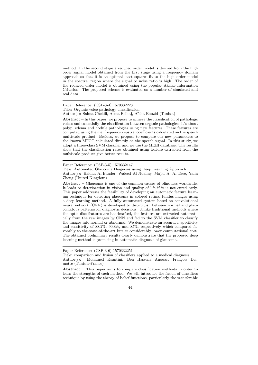method. In the second stage a reduced order model is derived from the high order signal model obtained from the first stage using a frequency domain approach so that it is an optimal least squares fit to the high order model in the spectral region where the signal to noise ratio is high. The order of the reduced order model is obtained using the popular Akaike Information Criterion. The proposed scheme is evaluated on a number of simulated and real data.

Paper Reference: (CSP-3-4) 1570332223 Title: Organic voice pathology classification Author(s): Salma Chekili, Asma Belhaj, A¨ıcha Bouzid (Tunisia)

Abstract – In this paper, we propose to achieve the classification of pathologic voices and essentially the classification between organic pathologies: it's about polyp, edema and nodule pathologies using new features. These features are computed using the mel frequency cepstral coefficients calculated on the speech multiscale product. Besides, we propose to compare our new parameters to the known MFCC calculated directly on the speech signal. In this study, we adopt a three-class SVM classifier and we use the MEEI database. The results show that the classification rates obtained using feature extracted from the multiscale product give better results.

Paper Reference: (CSP-3-5) 1570332147 Title: Automated Glaucoma Diagnosis using Deep Learning Approach Author(s): Baidaa Al-Bander, Waleed Al-Nuaimy, Majid A. Al-Taee, Yalin Zheng (United Kingdom)

Abstract – Glaucoma is one of the common causes of blindness worldwide. It leads to deterioration in vision and quality of life if it is not cured early. This paper addresses the feasibility of developing an automatic feature learning technique for detecting glaucoma in colored retinal fundus images using a deep learning method. A fully automated system based on convolutional neural network (CNN) is developed to distinguish between normal and glaucomatous patterns for diagnostic decisions. Unlike traditional methods where the optic disc features are handcrafted, the features are extracted automatically from the raw images by CNN and fed to the SVM classifier to classify the images into normal or abnormal. We demonstrate an accuracy, specificity and sensitivity of 88.2%, 90.8%, and 85%, respectively which compared favorably to the-state-of-the-art but at considerably lower computational cost. The obtained preliminary results clearly demonstrate that the proposed deep learning method is promising in automatic diagnosis of glaucoma.

Paper Reference: (CSP-3-6) 1570332251

Abstract – This paper aims to compare classification methods in order to learn the strengths of each method. We will introduce the fusion of classifiers technique by using the theory of belief functions, particularly the transferable

Title: comparison and fusion of classifiers applied to a medical diagnosis Author(s): Mohamed Ksantini, Ben Hassena Anouar, François Delmotte (Tunisia–France)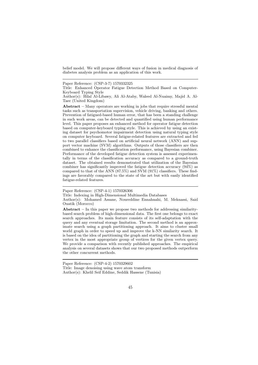belief model. We will propose different ways of fusion in medical diagnosis of diabetes analysis problem as an application of this work.

Paper Reference: (CSP-3-7) 1570332325

Title: Enhanced Operator Fatigue Detection Method Based on Computer-Keyboard Typing Style

Author(s): Hilal Al-Libawy, Ali Al-Ataby, Waleed Al-Nuaimy, Majid A. Al-Taee (United Kingdom)

Abstract – Many operators are working in jobs that require stressful mental tasks such as transportation supervision, vehicle driving, banking and others. Prevention of fatigued-based human error, that has been a standing challenge in such work areas, can be detected and quantified using human performance level. This paper proposes an enhanced method for operator fatigue detection based on computer-keyboard typing style. This is achieved by using an existing dataset for psychomotor impairment detection using natural typing style on computer keyboard. Several fatigue-related features are extracted and fed to two parallel classifiers based on artificial neural network (ANN) and support vector machine (SVM) algorithms. Outputs of those classifiers are then combined to enhance the classification performance, using Bayesian combiner. Performance of the developed fatigue detection system is assessed experimentally in terms of the classification accuracy as compared to a ground-truth dataset. The obtained results demonstrated that utilization of the Bayesian combiner has significantly improved the fatigue detection accuracy (94%) as compared to that of the ANN (87.5%) and SVM (91%) classifiers. These findings are favorably compared to the state of the art but with easily identified fatigue-related features.

Paper Reference: (CSP-4-1) 1570326306

Abstract – In this paper we propose two methods for addressing similaritybased search problem of high-dimensional data. The first one belongs to exact search approaches. Its main feature consists of its self-adaptation with the query and any eventual storage limitation. The second method is an approximate search using a graph partitioning approach. It aims to cluster small world graph in order to speed up and improve the k-NN similarity search. It is based on the idea of partitioning the graph and starting the search from any vertex in the most appropriate group of vertices for the given vertex query. We provide a comparison with recently published approaches. The empirical analysis on several datasets shows that our two proposed methods outperform the other concurrent methods.

Paper Reference: (CSP-4-2) 1570329602 Title: Image denoising using wave atom transform Author(s): Khelil Seif Eddine, Seddik Hassene (Tunisia)

Title: Indexing in High-Dimensional Multimedia Databases

Author(s): Mohamed Assane, Noureddine Ennahnahi, M. Meknassi, Said Ouatik (Morocco)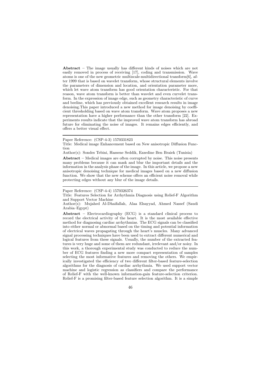Abstract – The image usually has different kinds of noises which are not easily removed in process of receiving [17], coding and transmission. Wave atoms is one of the new geometric multiscale-multidirectional transform[6], after 1999 that is based on wavelet transform, whose structural elements involve the parameters of dimension and location, and orientation parameter more, which let wave atom transform has good orientation characteristic. For that reason, wave atom transform is better than wavelet and even curvelet transform. In the expression of image edge, such as geometry characteristic of curve and beeline, which has previously obtained excellent research results in image denoising.This paper introduced a new method for image denoising by coefficient thresholding based on wave atom transform. Wave atom proposes a new representation have a higher performance than the other transform [22]. Experiments results indicate that the improved wave atom transform has abroad future for eliminating the noise of images. It remains edges efficiently, and offers a better visual effect.

Paper Reference: (CSP-4-3) 1570331823

Title: Medical image Enhancement based on New anisotropic Diffusion Function

Author(s): Sondes Tebini, Hassene Seddik, Ezzedine Ben Braiek (Tunisia)

Abstract – Medical images are often corrupted by noise. This noise presents many problems because it can mask and blur the important details and the information in the analysis phase of the image. In this article, we propose a new anisotropic denoising technique for medical images based on a new diffusion function. We show that the new scheme offers an efficient noise removal while protecting edges without any blur of the image details.

Paper Reference: (CSP-4-4) 1570326374

Title: Features Selection for Arrhythmia Diagnosis using Relief-F Algorithm and Support Vector Machine

Author(s): Mujahed Al-Dhaifallah, Alaa Elsayyad, Ahmed Nassef (Saudi Arabia–Egypt)

Abstract – Electrocardiography (ECG) is a standard clinical process to record the electrical activity of the heart. It is the most available effective method for diagnosing cardiac arrhythmias. The ECG signals can be classified into either normal or abnormal based on the timing and potential information of electrical waves propagating through the heart's muscles. Many advanced signal processing techniques have been used to extract different numerical and logical features from these signals. Usually, the number of the extracted features is very huge and some of them are redundant, irrelevant and/or noisy. In this work, a thorough experimental study was conducted to reduce the number of ECG features finding a new more compact representation of samples selecting the most informative features and removing the others. We empirically investigated the efficiency of two different filter-based feature-selection algorithms for the diagnosis of cardiac arrhythmia. We used support vector machine and logistic regression as classifiers and compare the performance of Relief-F with the well-known information-gain feature-selection criterion. Relief-F is a promising filter-based feature selection algorithm. It is a simple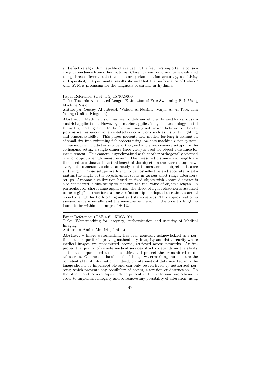and effective algorithm capable of evaluating the feature's importance considering dependence from other features. Classification performance is evaluated using three different statistical measures; classification accuracy, sensitivity and specificity. Experimental results showed that the performance of Relief-F with SVM is promising for the diagnosis of cardiac arrhythmia.

Paper Reference: (CSP-4-5) 1570329600

Title: Towards Automated Length-Estimation of Free-Swimming Fish Using Machine Vision

Author(s): Qussay Al-Jubouri, Waleed Al-Nuaimy, Majid A. Al-Taee, Iain Young (United Kingdom)

Abstract – Machine vision has been widely and efficiently used for various industrial applications. However, in marine applications, this technology is still facing big challenges due to the free-swimming nature and behavior of the objects as well as uncontrollable detection conditions such as visibility, lighting, and sensors stability. This paper presents new models for length estimation of small-size free-swimming fish objects using low-cost machine vision system. These models include two setups; orthogonal and stereo camera setups. In the orthogonal setup, a single camera (side view) is used for object's distance for measurement. This camera is synchronized with another orthogonally oriented one for object's length measurement. The measured distance and length are then used to estimate the actual length of the object. In the stereo setup, however, both cameras are simultaneously used to measure the object's distance and length. Those setups are found to be cost-effective and accurate in estimating the length of the objects under study in various short-range laboratory setups. Automatic calibration based on fixed object with known diameter is also considered in this study to measure the real value of object's length. In particular, for short range application, the effect of light refraction is assumed to be negligible, therefore; a linear relationship is adopted to estimate actual object's length for both orthogonal and stereo setups. This approximation is assessed experimentally and the measurement error in the object's length is found to be within the range of  $\pm$  1%.

Paper Reference: (CSP-4-6) 1570331991 Title: Watermarking for integrity, authentication and security of Medical Imaging

Author(s): Amine Mestiri (Tunisia)

Abstract – Image watermarking has been generally acknowledged as a pertinent technique for improving authenticity, integrity and data security where medical images are transmitted, stored, retrieved across networks. An improved the quality of remote medical services strictly depends on the ability of the techniques used to ensure ethics and protect the transmitted medical secrets. On the one hand, medical image watermarking must ensure the confidentiality of information. Indeed, private medical data inserted into the image should be imperceptible and can only be retrieved by authorized persons; which prevents any possibility of access, alteration or destruction. On the other hand, several tips must be present in the watermarking scheme in order to implement integrity and to remove any possibility of alteration, using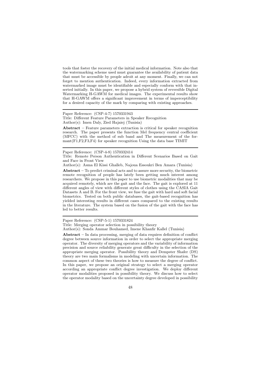tools that foster the recovery of the initial medical information. Note also that the watermarking scheme used must guarantee the availability of patient data that must be accessible by people adroit at any moment. Finally, we can not forget to mention authentication. Indeed, every information extracted from watermarked image must be identifiable and especially conform with that inserted initially. In this paper, we propose a hybrid system of reversible Digital Watermarking H-GAWM for medical images. The experimental results show that H-GAWM offers a significant improvement in terms of imperceptibility for a desired capacity of the mark by comparing with existing approaches.

Paper Reference: (CSP-4-7) 1570331943 Title: Different Feature Parameters in Speaker Recognition Author(s): Imen Daly, Zied Hajaiej (Tunisia)

Abstract – Feature parameters extraction is critical for speaker recognition research. The paper presents the function Mel frequency central coefficient (MFCC) with the method of sub band and The measurement of the for- $\text{mant}(\text{F1}, \text{F2}, \text{F3}, \text{F4})$  for speaker recognition Using the data base TIMIT

Paper Reference: (CSP-4-8) 1570332414

Title: Remote Person Authentication in Different Scenarios Based on Gait and Face in Front View

Author(s): Asma El Kissi Ghalleb, Najoua Essoukri Ben Amara (Tunisia)

Abstract  $-$  To predict criminal acts and to assure more security, the biometric remote recognition of people has lately been getting much interest among researchers. We propose in this paper to use biometric modalities that may be acquired remotely, which are the gait and the face. The gait is explored at 11 different angles of view with different styles of clothes using the CASIA Gait Datasets A and B. For the front view, we fuse the gait with hard and soft facial biometrics. Tested on both public databases, the gait-based recognition has yielded interesting results in different cases compared to the existing results in the literature. The system based on the fusion of the gait with the face has led to better results.

Paper Reference: (CSP-5-1) 1570331824

Title: Merging operator selection in possibility theory

Author(s): Sonda Ammar Bouhamed, Imene Khanfir Kallel (Tunisia)

Abstract – In data processing, merging of data requires definition of conflict degree between source information in order to select the appropriate merging operator. The diversity of merging operators and the variability of information precision and source reliability generate great difficulty in the selection of the appropriate merging operator. Possibility theory and Dempster Shafer (DS) theory are two main formalisms in modeling with uncertain information. The common aspect of these two theories is how to measure the degree of conflict. In this paper, we propose an original strategy to select a merging operator according an appropriate conflict degree investigation. We deploy different operator modalities proposed in possibility theory. We discuss how to select the operator modality based on the uncertainty degree developed in possibility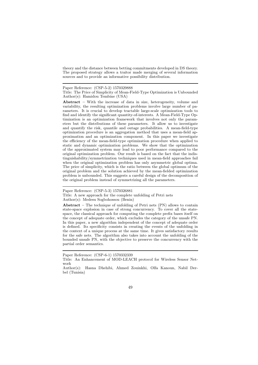theory and the distance between betting commitments developed in DS theory. The proposed strategy allows a traitor made merging of several information sources and to provide an informative possibility distribution.

## Paper Reference: (CSP-5-2) 1570329888

Title: The Price of Simplicity of Mean-Field-Type Optimization is Unbounded Author(s): Hamidou Tembine (USA)

Abstract – With the increase of data in size, heterogeneity, volume and variability, the resulting optimization problems involve large number of parameters. It is crucial to develop tractable large-scale optimization tools to find and identify the significant quantity-of-interests. A Mean-Field-Type Optimization is an optimization framework that involves not only the parameters but the distributions of these parameters. It allow us to investigate and quantify the risk, quantile and outage probabilities. A mean-field-type optimization procedure is an aggregation method that uses a mean-field approximation and an optimization component. In this paper we investigate the efficiency of the mean-field-type optimization procedure when applied to static and dynamic optimization problems. We show that the optimization of the approximated system may lead to poor performance compared to the original optimization problem. Our result is based on the fact that the indistinguishability/symmetrization techniques used in mean-field approaches fail when the original optimization problem has only asymmetric global optima. The price of simplicity, which is the ratio between the global optimum of the original problem and the solution achieved by the mean-fielded optimization problem is unbounded. This suggests a careful design of the decomposition of the original problem instead of symmetrizing all the parameters.

Paper Reference: (CSP-5-3) 1570326881 Title: A new approach for the complete unfolding of Petri nets Author(s): Medesu Sogbohossou (Benin)

Abstract – The technique of unfolding of Petri nets (PN) allows to contain state-space explosion in case of strong concurrency. To cover all the statespace, the classical approach for computing the complete prefix bases itself on the concept of adequate order, which excludes the category of the unsafe PN. In this paper, a new algorithm independent of the concept of adequate order is defined. Its specificity consists in creating the events of the unfolding in the context of a unique process at the same time. It gives satisfactory results for the safe nets. The algorithm also takes into account the unfolding of the bounded unsafe PN, with the objective to preserve the concurrency with the partial order semantics.

Paper Reference: (CSP-6-1) 1570332339

Title: An Enhancement of MOD-LEACH protocol for Wireless Sensor Network

Author(s): Hasna Dhehibi, Ahmed Zouinkhi, Olfa Kanoun, Nabil Derbel (Tunisia)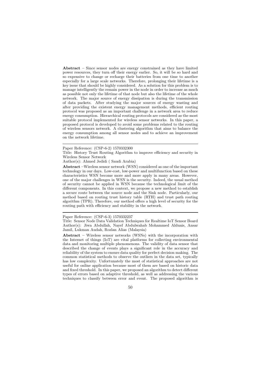Abstract – Since sensor nodes are energy constrained as they have limited power resources, they turn off their energy earlier. So, it will be so hard and so expensive to change or recharge their batteries from one time to another especially for a large scale networks. Therefore, prolonging their lifetime is a key issue that should be highly considered. As a solution for this problem is to manage intelligently the remain power in the node in order to increase as much as possible not only the lifetime of that node but also the lifetime of the whole network. The major source of energy dissipation is during the transmission of data packets. After studying the major sources of energy wasting and after providing the existent energy management methods, efficient routing protocol was proposed as an important challenge in a network area to reduce energy consumption. Hierarchical routing protocols are considered as the most suitable protocol implemented for wireless sensor networks. In this paper, a proposed protocol is developed to avoid some problems related to the routing of wireless sensors network. A clustering algorithm that aims to balance the energy consumption among all sensor nodes and to achieve an improvement on the network lifetime.

Paper Reference: (CSP-6-2) 1570332300

Title: History Trust Routing Algorithm to improve efficiency and security in Wireless Sensor Network

Author(s): Ahmed Jedidi ( Saudi Arabia)

Abstract –Wireless sensor network (WSN) considered as one of the important technology in our days. Low-cost, low-power and multifunction based on these characteristics WSN become more and more apply in many areas. However, one of the major challenges in WSN is the security. Indeed, the usual method of security cannot be applied in WSN because the technological limit of the different components. In this context, we propose a new method to establish a secure route between the source node and the Sink node. Particularly, our method based on routing trust history table (RTH) and trust path routing algorithm (TPR). Therefore, our method offers a high level of security for the routing path with efficiency and stability in the network.

Paper Reference: (CSP-6-3) 1570332237

Title: Sensor Node Data Validation Techniques for Realtime IoT Sensor Board Author(s): Jiwa Abdullah, Nayef Abdulwahab Mohammed Alduais, Ansar Jamil, Lukman Audah, Rozlan Alias (Malaysia)

Abstract – Wireless sensor networks (WSNs) with the incorporation with the Internet of things (IoT) are vital platforms for collecting environmental data and monitoring multiple phenomenons. The validity of data sensor that described the change of events plays a significant role in the accuracy and reliability of the system to ensure data quality for perfect decision making. The common statistical methods to observe the outliers in the data set, typically has low complexity. Unfortunately the most of statistical approaches are not useful for online application because most of them are based on historic data and fixed threshold. In this paper, we proposed an algorithm to detect different types of errors based on adaptive threshold, as well as addressing the various techniques to classify between error and event. The proposed algorithm is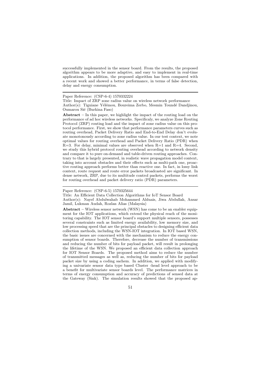successfully implemented in the sensor board. From the results, the proposed algorithm appears to be more adaptive, and easy to implement in real-time applications. In addition, the proposed algorithm has been compared with a recent work and showed a better performance, in terms of false detection, delay and energy consumption.

Paper Reference: (CSP-6-4) 1570332224

Title: Impact of ZRP zone radius value on wireless network performance Author(s): Tiguiane Yélémou, Boureima Zerbo, Mesmin Toundé Dandjinou, Oumarou Sié (Burkina Faso)

Abstract – In this paper, we highlight the impact of the routing load on the performance of ad hoc wireless networks. Specificaly, we analyze Zone Routing Protocol (ZRP) routing load and the impact of zone radius value on this protocol performance. First, we show that performance parameters curves such as routing overhead, Packet Delivery Ratio and End-to-End Delay don't evoluate monotonously according to zone radius value. In our test context, we note optimal values for routing overhead and Packet Delivery Ratio (PDR) when  $R=3$ . For delay, minimal values are observed when  $R=1$  and  $R=4$ . Second, we study this hybrid protocol routing overhead according to network density and compare it to pure on-demand and table-driven routing approaches. Contrary to that is largely presented, in realistic wave propagation model context, taking into account obstacles and their effects such as multi-path one, proactive routing approach performs better than reactive one. In fact, in lossy link context, route request and route error packets broadcasted are significant. In dense network, ZRP, due to its multitude control packets, performs the worst for routing overhead and packet delivery ratio (PDR) parameters.

Paper Reference: (CSP-6-5) 1570325644

Title: An Efficient Data Collection Algorithms for IoT Sensor Board Author(s): Nayef Abdulwahab Mohammed Alduais, Jiwa Abdullah, Ansar Jamil, Lukman Audah, Rozlan Alias (Malaysia)

Abstract – Wireless sensor network (WSN) has come to be an enabler equipment for the IOT applications, which extend the physical reach of the monitoring capability. The IOT sensor board's support multiple sensors, possesses several constraints such as limited energy availability, low memory size, and low processing speed that are the principal obstacles to designing efficient data collection methods, including the WSN-IOT integration. In IOT based WSN, the basic issues are concerned with the mechanism to reduce the energy consumption of sensor boards. Therefore, decrease the number of transmissions and reducing the number of bits for payload packet, will result in prolonging the lifetime of the WSN. We proposed an efficient data collection approach for IOT Sensor Boards. The proposed method aims to reduce the number of transmitted messages as well as, reducing the number of bits for payload packet size by using a coding sachem. In addition, we applied with modifying a univariate sensor data type based Cluster -head level approach to be a benefit for multivariate sensor boards level. The performance matrices in terms of energy consumption and accuracy of predictions of sensed data at the Gateway (Sink). The simulation results showed that the proposed ap-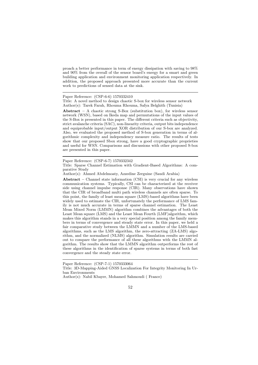proach a better performance in term of energy dissipation with saving to 98% and 90% from the overall of the sensor board's energy for a smart and green building application and environment monitoring application respectively. In addition, the proposed approach presented more accurate than the current work to predictions of sensed data at the sink.

Paper Reference: (CSP-6-6) 1570332410

Title: A novel method to design chaotic S-box for wireless sensor network Author(s): Tarek Farah, Rhouma Rhouma, Safya Belghith (Tunisia)

Abstract – A chaotic strong S-Box (substitution box), for wireless sensor network (WSN), based on Ikeda map and permutations of the input values of the S-Box is presented in this paper. The different criteria such as objectivity, strict avalanche criteria (SAC), non-linearity criteria, output bits independence and equiprobable input/output XOR distribution of our S-box are analyzed. Also, we evaluated the proposed method of S-box generation in terms of algorithmic complexity and independency measure ratio. The results of tests show that our proposed Sbox strong, have a good cryptographic proprieties and useful for WSN. Comparisons and discussions with other proposed S-box are presented in this paper.

Paper Reference: (CSP-6-7) 1570332342

Title: Sparse Channel Estimation with Gradient-Based Algorithms: A comparative Study

Author(s): Ahmed Abdelmoaty, Azzedine Zerguine (Saudi Arabia)

Abstract – Channel state information  $(CSI)$  is very crucial for any wireless communication systems. Typically, CSI can be characterized at the receiver side using channel impulse response (CIR). Many observations have shown that the CIR of broadband multi path wireless channels are often sparse. To this point, the family of least mean square (LMS)-based algorithms have been widely used to estimate the CIR, unfortunately the performance of LMS family is not much accurate in terms of sparse channel estimation. The Least Mean Mixed Norm (LMMN) algorithm combines the advantages of both the Least Mean square (LMS) and the Least Mean Fourth (LMF)algorithm, which makes this algorithm stands in a very special position among the family members in terms of convergence and steady state error. In this paper, we held a fair comparative study between the LMMN and a number of the LMS-based algorithms, such as the LMS algorithm, the zero-attracting (ZA-LMS) algorithm, and the normalized (NLMS) algorithm. Simulation results are carried out to compare the performance of all these algorithms with the LMMN algorithm. The results show that the LMMN algorithm outperforms the rest of these algorithms in the identification of sparse systems in terms of both fast convergence and the steady state error.

Paper Reference: (CSP-7-1) 1570333064 Title: 3D-Mapping-Aided GNSS Localization For Integrity Monitoring In Urban Environments

Author(s): Nabil Kbayer, Mohamed Sahmoudi ( France)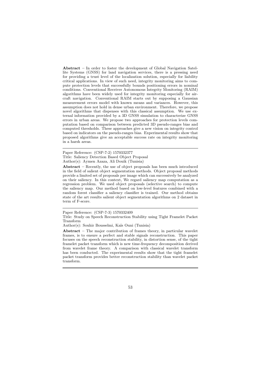Abstract – In order to foster the development of Global Navigation Satellite Systems (GNSS) for land navigation services, there is a pressing need for providing a trust level of the localization solution, especially for liability critical applications. In view of such need, integrity monitoring aims to compute protection levels that successfully bounds positioning errors in nominal conditions. Conventional Receiver Autonomous Integrity Monitoring (RAIM) algorithms have been widely used for integrity monitoring especially for aircraft navigation. Conventional RAIM starts out by supposing a Gaussian measurement errors model with known means and variances. However, this assumption does not hold in dense urban environment. Therefore, we propose novel algorithms that dispenses with this classical assumption. We use external information provided by a 3D GNSS simulation to characterize GNSS errors in urban areas. We propose two approaches for protection levels computation based on comparison between predicted 3D pseudo-ranges bias and computed thresholds. These approaches give a new vision on integrity control based on indicators on the pseudo-ranges bias. Experimental results show that proposed algorithms give an acceptable success rate on integrity monitoring in a harsh areas.

Paper Reference: (CSP-7-2) 1570332377 Title: Saliency Detection Based Object Proposal Author(s): Aymen Azaza, Ali Douik (Tunisia)

Abstract – Recently, the use of object proposals has been much introduced in the field of salient object segmentation methods. Object proposal methods provide a limited set of proposals per image which can successively be analyzed on their saliency. In this context, We regard saliency map computation as a regression problem. We used object proposals (selective search) to compute the saliency map. Our method based on low-level features combined with a random forest classifier a saliency classifier is trained. Our method obtains state of the art results salient object segmentation algorithms on 2 dataset in term of F-score.

Paper Reference: (CSP-7-3) 1570332409

Title: Study on Speech Reconstruction Stability using Tight Framelet Packet Transform

Author(s): Souhir Bousselmi, Kaïs Ouni (Tunisia)

Abstract – The major contribution of frames theory, in particular wavelet frames, is to ensure a perfect and stable signals reconstruction. This paper focuses on the speech reconstruction stability, in distortion sense, of the tight framelet packet transform which is new time-frequency decomposition derived from wavelet frame theory. A comparison with classical wavelet transform has been conducted. The experimental results show that the tight framelet packet transform provides better reconstruction stability than wavelet packet transform.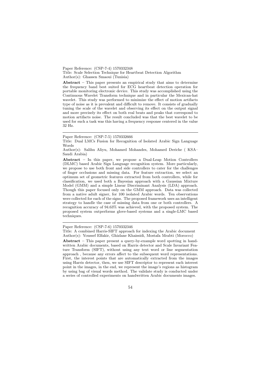Paper Reference: (CSP-7-4) 1570332348 Title: Scale Selection Technique for Heartbeat Detection Algorithm Author(s): Ghassen Smaoui (Tunisia)

Abstract – This paper presents an empirical study that aims to determine the frequency band best suited for ECG heartbeat detection operation for portable monitoring electronic device. This study was accomplished using the Continuous Wavelet Transform technique and in particular the Mexican-hat wavelet. This study was performed to minimize the effect of motion artifacts type of noise as it is prevalent and difficult to remove. It consists of gradually tuning the scale of the wavelet and observing its effect on the output signal and more precisely its effect on both real beats and peaks that correspond to motion artifacts noise. The result concluded was that the best wavelet to be used for such a task was this having a frequency response centered in the value 32 Hz.

Abstract – In this paper, we propose a Dual-Leap Motion Controllers (DLMC) based Arabic Sign Language recognition system. More particularly, we propose to use both front and side controllers to cater for the challenges of finger occlusions and missing data. For feature extraction, we select an optimum set of geometric features extracted from both controllers, while for classification, we used both a Bayesian approach with a Gaussian Mixture Model (GMM) and a simple Linear Discriminant Analysis (LDA) approach. Though this paper focused only on the GMM approach. Data was collected from a native adult signer, for 100 isolated Arabic words. Ten observations were collected for each of the signs. The proposed framework uses an intelligent strategy to handle the case of missing data from one or both controllers. A recognition accuracy of 94.63% was achieved, with the proposed system. The proposed system outperforms glove-based systems and a single-LMC based techniques.

Paper Reference: (CSP-7-6) 1570332346

Title: A combined Harris-SIFT approach for indexing the Arabic document Author(s): Youssef Elfakir, Ghizlane Khaissidi, Mostafa Mrabti (Morocco)

Abstract – This paper present a query-by-example word spotting in handwritten Arabic documents, based on Harris detector and Scale Invariant Feature Transform (SIFT), without using any text word or line segmentation approach , because any errors affect to the subsequent word representations. First, the interest points that are automatically extracted from the images using Harris detector, then, we use SIFT descriptor to represent each interest point in the images, in the end, we represent the image's regions as histogram by using bag of visual words method. The validate study is conducted under a series of controlled experiments on handwritten Arabic documents images.

Paper Reference: (CSP-7-5) 1570332666

Title: Dual LMCs Fusion for Recognition of Isolated Arabic Sign Language Words

Author(s): Salihu Aliyu, Mohamed Mohandes, Mohamed Deriche ( KSA– Saudi Arabia)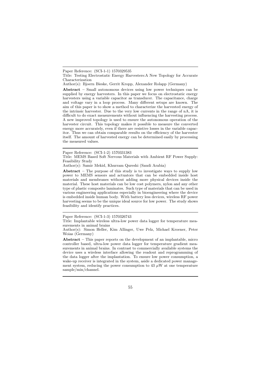Title: Testing Electrostatic Energy Harvesters:A New Topology for Accurate Characterization

Author(s): Bjoern Bieske, Gerrit Kropp, Alexander Rolapp (Germany)

Abstract – Small autonomous devices using low power techniques can be supplied by energy harvesters. In this paper we focus on electrostatic energy harvesters using a variable capacitor as transducer. The capacitance, charge and voltage vary in a loop process. Many different setups are known. The aim of this paper is to show a method to characterize the harvested energy of the intrinsic harvester. Due to the very low currents in the range of nA, it is difficult to do exact measurements without influencing the harvesting process. A new improved topology is used to ensure the autonomous operation of the harvester circuit. This topology makes it possible to measure the converted energy more accurately, even if there are resistive losses in the variable capacitor. Thus we can obtain comparable results on the efficiency of the harvester itself. The amount of harvested energy can be determined easily by processing the measured values.

Paper Reference: (SCI-1-2) 1570331383

Title: MEMS Based Soft Nervous Materials with Ambient RF Power Supply: Feasibility Study

Author(s): Samir Mekid, Khurram Qureshi (Saudi Arabia)

Abstract – The purpose of this study is to investigate ways to supply low power to MEMS sensors and actuators that can be embedded inside host materials and membranes without adding more physical devices inside the material. These host materials can be low cost polymers, nylon and any other type of plastic composite laminates. Such type of materials that can be used in various engineering applications especially in bioengineering where the device is embedded inside human body. With battery less devices, wireless RF power harvesting seems to be the unique ideal source for low power. The study shows feasibility and identify practices.

Paper Reference: (SCI-1-3) 1570326743

Title: Implantable wireless ultra-low power data logger for temperature measurements in animal brains

Author(s): Simon Heller, Kim Allinger, Uwe Pelz, Michael Kroener, Peter Woias (Germany)

Abstract – This paper reports on the development of an implantable, micro controller based, ultra-low power data logger for temperature gradient measurements in animal brains. In contrast to commercially available systems the device uses a wireless interface allowing the readout and reprogramming of the data logger after the implantation. To ensure low power consumption, a wake-up receiver is integrated in the system, aside a dedicated power management system, reducing the power consumption to 43  $\mu$ W at one temperature sample/min/channel.

Paper Reference: (SCI-1-1) 1570329535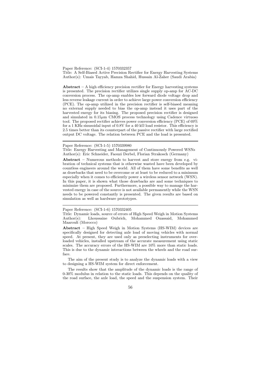Paper Reference: (SCI-1-4) 1570332357 Title: A Self-Biased Active Precision Rectifier for Energy Harvesting Systems Author(s): Umais Tayyab, Hamza Shahid, Hussain Al-Zaher (Saudi Arabia)

Abstract  $- A$  high efficiency precision rectifier for Energy harvesting systems is presented. The precision rectifier utilizes single supply op-amp for AC-DC conversion process. The op-amp enables low forward diode voltage drop and less reverse leakage current in order to achieve large power conversion efficiency (PCE). The op-amp utilized in the precision rectifier is self-biased meaning no external supply needed to bias the op-amp instead it uses part of the harvested energy for its biasing. The proposed precision rectifier is designed and simulated in  $0.15\mu$ m CMOS process technology using Cadence virtuoso tool. The proposed rectifier achieves power conversion efficiency (PCE) of 69% for a 1 KHz sinusoidal input of 0.8V for a 40 k $\Omega$  load resistor. This efficiency is 2.5 times better than its counterpart of the passive rectifier with large rectified output DC voltage. The relation between PCE and the load is presented.

Paper Reference: (SCI-1-5) 1570339980 Title: Energy Harvesting and Management of Continuously Powered WSNs Author(s): Eric Schneider, Faouzi Derbel, Florian Strakosch (Germany)

Abstract – Numerous methods to harvest and store energy from e.g. vibration of technical systems that is otherwise wasted have been developed by countless engineers around the world. All of them have some benefits as well as drawbacks that need to be overcome or at least to be reduced to a minimum especially when it comes to efficiently power a wireless sensor network (WSN). In this paper, it is shown what those drawbacks are and some techniques to minimize them are proposed. Furthermore, a possible way to manage the harvested energy in case of the source is not available permanently while the WSN needs to be powered constantly is presented. The given results are based on simulation as well as hardware prototypes.

Paper Reference: (SCI-1-6) 1570332405

Abstract – High Speed Weigh in Motion Systems (HS-WIM) devices are specifically designed for detecting axle load of moving vehicles with normal speed. At present, they are used only as preselecting instruments for overloaded vehicles, installed upstream of the accurate measurement using static scales. The accuracy errors of the HS-WIM are 10% more than static loads. This is due to the dynamic interactions between the wheels and the road surface.

The aim of the present study is to analyze the dynamic loads with a view to designing a HS-WIM system for direct enforcement.

The results show that the amplitude of the dynamic loads is the range of 0-30% modulus in relation to the static loads. This depends on the quality of the road surface, the axle load, the speed and the suspension system. Their

Title: Dynamic loads, source of errors of High Speed Weigh in Motion Systems Author(s): Lhoussaine Oubrich, Mohammed Ouassaid, Mohammed Maaroufi (Morocco)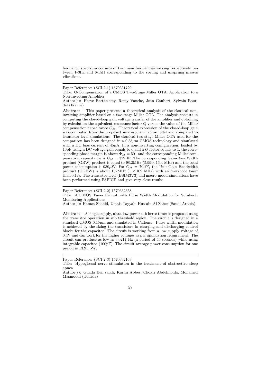frequency spectrum consists of two main frequencies varying respectively between 1-3Hz and 6-15H corresponding to the sprung and unsprung masses vibrations.

Abstract – A single supply, ultra-low power sub hertz timer is proposed using the transistor operation in sub threshold region. The circuit is designed in a standard CMOS  $0.15\mu m$  and simulated in Cadence. Pulse width modulation is achieved by the sizing the transistors in charging and discharging control blocks for the capacitor. The circuit is working from a low supply voltage of 0.4V and can work for the higher voltages as per application requirement. The circuit can produce as low as 0.0217 Hz (a period of 46 seconds) while using integrable capacitor (100pF). The circuit average power consumption for one period is 13.91 pW.

Paper Reference: (SCI-2-1) 1570331729

Title: Q-Compensation of a CMOS Two-Stage Miller OTA: Application to a Non-Inverting Amplifier

Author(s): Herve Barthelemy, Remy Vauche, Jean Gaubert, Sylvain Bourdel (France)

Abstract – This paper presents a theoretical analysis of the classical noninverting amplifier based on a two-stage Miller OTA. The analysis consists in computing the closed-loop gain voltage transfer of the amplifier and obtaining by calculation the equivalent resonance factor Q versus the value of the Miller compensation capacitance  $C_M$ . Theoretical expression of the closed-loop gain was computed from the proposed small-signal macro-model and compared to transistor-level simulations. The classical two-stage Miller OTA used for the comparison has been designed in a  $0.35\mu$ m CMOS technology and simulated with a DC bias current of  $45\mu$ A. In a non-inverting configuration, loaded by  $10pF$  using a DC voltage gain equals to 6 and a Q factor equals to 1, the corresponding phase margin is about  $\Phi_M = 50^\circ$  and the corresponding Miller compensation capacitance is  $C_M = 372$  fF. The corresponding Gain-BandWidth product (GBW) product is equal to  $98.2\text{MHz}$  ( $5.99 \times 16.4 \text{MHz}$ ) and the total power consumption is  $930\mu\text{W}$ . For  $C_M = 70$  fF, the Unit-Gain Bandwidth product (UGBW) is about  $102\text{MHz}$  ( $1 \times 102 \text{ MHz}$ ) with an overshoot lower than 0.1%. The transistor-level (BSIM3V3) and macro-model simulations have been performed using PSPICE and give very close results.

Paper Reference: (SCI-2-2) 1570332358 Title: A CMOS Timer Circuit with Pulse Width Modulation for Sub-hertz Monitoring Applications Author(s): Hamza Shahid, Umais Tayyab, Hussain Al-Zaher (Saudi Arabia)

Paper Reference: (SCI-2-3) 1570332163

Title: Hypoglossal nerve stimulation in the treatment of obstructive sleep apnea

Author(s): Ghada Ben salah, Karim Abbes, Chokri Abdelmoula, Mohamed Masmoudi (Tunisia)

<sup>57</sup>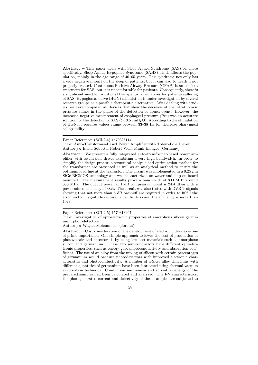Abstract – This paper deals with Sleep Apnea Syndrome (SAS) or, more specifically, Sleep Apnea-Hypopnea Syndrome (SAHS) which affects the population, mainly in the age range of 40–65 years. This syndrome not only has a very negative impact on the sleep of patients, but it can lead to death if not properly treated. Continuous Positive Airway Pressure (CPAP) is an efficient treatment for SAS, but it is uncomfortable for patients. Consequently, there is a significant need for additional therapeutic alternatives for patients suffering of SAS. Hypoglossal nerve (HGN) stimulation is under investigation by several research groups as a possible therapeutic alternative. After dealing with studies, we have compared all devices that show the decrease of the intrathoracic pressure values in the phase of the detection of apnea event. However, the increased negative measurement of esophageal pressure (Pes) was an accurate solution for the detection of SAS ( $>13.5$  cmH<sub>2</sub>O). According to the stimulation of HGN, it requires values range between 33–38 Hz for decrease pharyngeal collapsibility.

Paper Reference: (SCI-2-4) 1570326114 Title: Auto-Transformer-Based Power Amplifier with Totem-Pole Driver Author(s): Elena Sobotta, Robert Wolf, Frank Ellinger (Germany)

Abstract – We present a fully integrated auto-transformer-based power amplifier with totem-pole driver exhibiting a very high bandwidth. In order to simplify the design process a structural analysis and optimization method for the transformer are presented as well as an analytical method to ensure the optimum load line at the transistor. The circuit was implemented in a 0.25  $\mu$ m SiGe BiCMOS technology and was characterized on-waver and chip-on-board mounted. The measurement results prove a bandwidth of 800 MHz around  $650$  MHz. The output power at 1 dB compression point is 24.4 dBm with a power added efficiency of 38%. The circuit was also tested with DVB-T signals showing that not more than 5 dB back-off are required in order to fulfill the error vector magnitude requirements. In this case, the efficiency is more than 19%

Paper Reference: (SCI-2-5) 1570313467

Title: Investigation of optoelectronic properties of amorphous silicon germanium photodetectors

Author(s): Wagah Mohammed (Jordan)

Abstract – Cost consideration of the development of electronic devices is one of prime importance. One simple approach to lower the cost of production of photovoltaic and detectors is by using low cost materials such as amorphous silicon and germanium. These two semiconductors have different optoelectronic properties, such as energy gap, photoconductivity and absorption coefficient. The use of an alloy from the mixing of silicon with certain percentages of germanium would produce photodetectors with improved electronic characteristics and photoconductivity. A number of a-SiGe alloy thin films with different quantities of germanium have been fabricated using thermal vacuum evaporation technique. Conduction mechanism and activation energy of the prepared samples had been calculated and analyzed. The I-V characteristics, the photogenerated current and detectivity of these samples are subjected to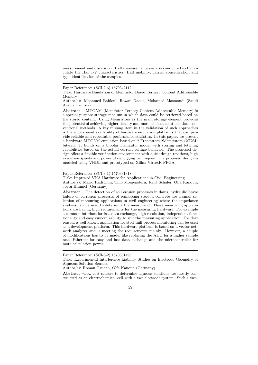measurement and discussion. Hall measurements are also conducted so to calculate the Hall I-V characteristics, Hall mobility, carrier concentration and type identification of the samples.

## Paper Reference: (SCI-2-6) 1570342112

Author(s): Mohamed Bahloul, Rawan Naous, Mohamed Masmoudi (Saudi Arabia–Tunisia)

Abstract – MTCAM (Memristor Ternary Content Addressable Memory) is a special purpose storage medium in which data could be retrieved based on the stored content. Using Memristors as the main storage element provides the potential of achieving higher density and more efficient solutions than conventional methods. A key missing item in the validation of such approaches is the wide spread availability of hardware emulation platforms that can provide reliable and repeatable performance statistics. In this paper, we present a hardware MTCAM emulation based on 2-Transistors-2Memristors (2T2M) bit-cell. It builds on a bipolar memristor model with storing and fetching capabilities based on the actual current-voltage behavior. The proposed design offers a flexible verification environment with quick design revisions, high execution speeds and powerful debugging techniques. The proposed design is modeled using VHDL and prototyped on Xilinx VirtexR FPGA.

Paper Reference: (SCI-3-1) 1570331318

Abstract – The detection of soil erosion processes in dams, hydraulic heave failure or corrosion processes of reinforcing steel in concrete are a small selection of measuring applications in civil engineering where the impedance analysis can be used to determine the measurand. Those measuring applications are having high requirements for the measuring hardware. For example a common interface for fast data exchange, high resolution, independent functionality and easy customizability to suit the measuring application. For that reason, a well-known application for steel-mill process monitoring can be used as a development platform. This hardware platform is based on a vector network analyzer and is meeting the requirements mainly. However, a couple of modifications has to be made, like replacing the ADC for a higher sample rate, Ethernet for easy and fast data exchange and the microcontroller for more calculation power.

Author(s): Roman Gruden, Olfa Kanoun (Germany)

Abstract –Low-cost sensors to determine aqueous solutions are mostly constructed as an electrochemical cell with a two-electrode-system. Such a two-

59

Title: Hardware Emulation of Memristor Based Ternary Content Addressable Memory

Title: Improved VNA Hardware for Applications in Civil Engineering Author(s): Mario Radschun, Tino Morgenstern, René Schäfer, Olfa Kanoun, Joerg Himmel (Germany)

Paper Reference: (SCI-3-2) 1570331495

Title: Experimental Interference Liability Studies on Electrode Geometry of Aqueous Solution Sensors